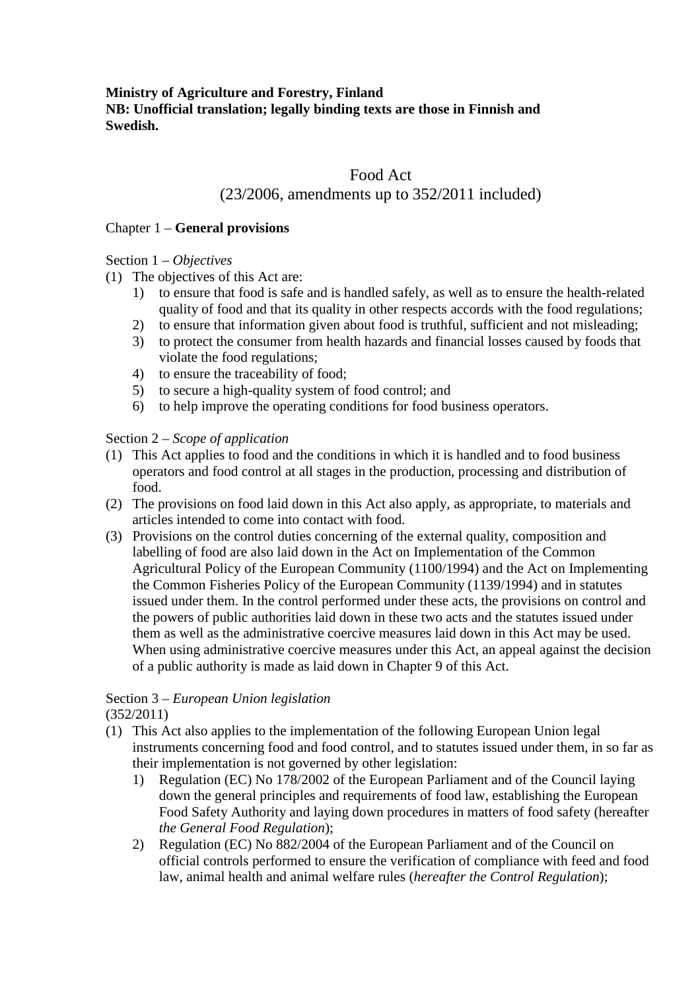## **Ministry of Agriculture and Forestry, Finland NB: Unofficial translation; legally binding texts are those in Finnish and Swedish.**

# Food Act

# (23/2006, amendments up to 352/2011 included)

#### Chapter 1 – **General provisions**

### Section 1 – *Objectives*

- (1) The objectives of this Act are:
	- 1) to ensure that food is safe and is handled safely, as well as to ensure the health-related quality of food and that its quality in other respects accords with the food regulations;
	- 2) to ensure that information given about food is truthful, sufficient and not misleading;
	- 3) to protect the consumer from health hazards and financial losses caused by foods that violate the food regulations;
	- 4) to ensure the traceability of food;
	- 5) to secure a high-quality system of food control; and
	- 6) to help improve the operating conditions for food business operators.

### Section 2 – *Scope of application*

- (1) This Act applies to food and the conditions in which it is handled and to food business operators and food control at all stages in the production, processing and distribution of food.
- (2) The provisions on food laid down in this Act also apply, as appropriate, to materials and articles intended to come into contact with food.
- (3) Provisions on the control duties concerning of the external quality, composition and labelling of food are also laid down in the Act on Implementation of the Common Agricultural Policy of the European Community (1100/1994) and the Act on Implementing the Common Fisheries Policy of the European Community (1139/1994) and in statutes issued under them. In the control performed under these acts, the provisions on control and the powers of public authorities laid down in these two acts and the statutes issued under them as well as the administrative coercive measures laid down in this Act may be used. When using administrative coercive measures under this Act, an appeal against the decision of a public authority is made as laid down in Chapter 9 of this Act.

# Section 3 – *European Union legislation*

(352/2011)

- (1) This Act also applies to the implementation of the following European Union legal instruments concerning food and food control, and to statutes issued under them, in so far as their implementation is not governed by other legislation:
	- 1) Regulation (EC) No 178/2002 of the European Parliament and of the Council laying down the general principles and requirements of food law, establishing the European Food Safety Authority and laying down procedures in matters of food safety (hereafter *the General Food Regulation*);
	- 2) Regulation (EC) No 882/2004 of the European Parliament and of the Council on official controls performed to ensure the verification of compliance with feed and food law, animal health and animal welfare rules (*hereafter the Control Regulation*);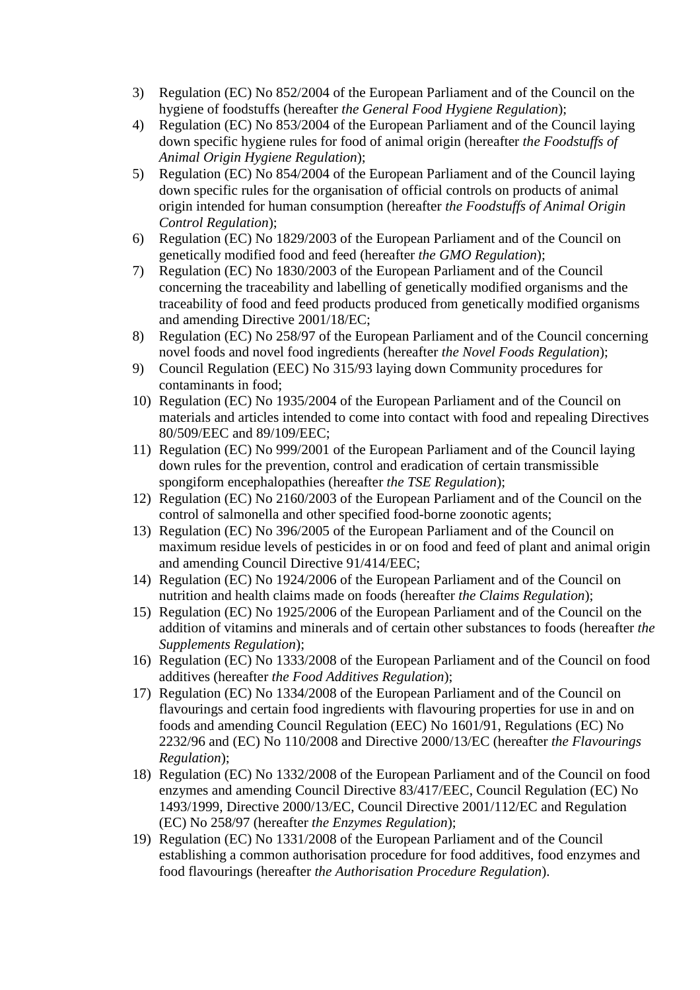- 3) Regulation (EC) No 852/2004 of the European Parliament and of the Council on the hygiene of foodstuffs (hereafter *the General Food Hygiene Regulation*);
- 4) Regulation (EC) No 853/2004 of the European Parliament and of the Council laying down specific hygiene rules for food of animal origin (hereafter *the Foodstuffs of Animal Origin Hygiene Regulation*);
- 5) Regulation (EC) No 854/2004 of the European Parliament and of the Council laying down specific rules for the organisation of official controls on products of animal origin intended for human consumption (hereafter *the Foodstuffs of Animal Origin Control Regulation*);
- 6) Regulation (EC) No 1829/2003 of the European Parliament and of the Council on genetically modified food and feed (hereafter *the GMO Regulation*);
- 7) Regulation (EC) No 1830/2003 of the European Parliament and of the Council concerning the traceability and labelling of genetically modified organisms and the traceability of food and feed products produced from genetically modified organisms and amending Directive 2001/18/EC;
- 8) Regulation (EC) No 258/97 of the European Parliament and of the Council concerning novel foods and novel food ingredients (hereafter *the Novel Foods Regulation*);
- 9) Council Regulation (EEC) No 315/93 laying down Community procedures for contaminants in food;
- 10) Regulation (EC) No 1935/2004 of the European Parliament and of the Council on materials and articles intended to come into contact with food and repealing Directives 80/509/EEC and 89/109/EEC;
- 11) Regulation (EC) No 999/2001 of the European Parliament and of the Council laying down rules for the prevention, control and eradication of certain transmissible spongiform encephalopathies (hereafter *the TSE Regulation*);
- 12) Regulation (EC) No 2160/2003 of the European Parliament and of the Council on the control of salmonella and other specified food-borne zoonotic agents;
- 13) Regulation (EC) No 396/2005 of the European Parliament and of the Council on maximum residue levels of pesticides in or on food and feed of plant and animal origin and amending Council Directive 91/414/EEC;
- 14) Regulation (EC) No 1924/2006 of the European Parliament and of the Council on nutrition and health claims made on foods (hereafter *the Claims Regulation*);
- 15) Regulation (EC) No 1925/2006 of the European Parliament and of the Council on the addition of vitamins and minerals and of certain other substances to foods (hereafter *the Supplements Regulation*);
- 16) Regulation (EC) No 1333/2008 of the European Parliament and of the Council on food additives (hereafter *the Food Additives Regulation*);
- 17) Regulation (EC) No 1334/2008 of the European Parliament and of the Council on flavourings and certain food ingredients with flavouring properties for use in and on foods and amending Council Regulation (EEC) No 1601/91, Regulations (EC) No 2232/96 and (EC) No 110/2008 and Directive 2000/13/EC (hereafter *the Flavourings Regulation*);
- 18) Regulation (EC) No 1332/2008 of the European Parliament and of the Council on food enzymes and amending Council Directive 83/417/EEC, Council Regulation (EC) No 1493/1999, Directive 2000/13/EC, Council Directive 2001/112/EC and Regulation (EC) No 258/97 (hereafter *the Enzymes Regulation*);
- 19) Regulation (EC) No 1331/2008 of the European Parliament and of the Council establishing a common authorisation procedure for food additives, food enzymes and food flavourings (hereafter *the Authorisation Procedure Regulation*).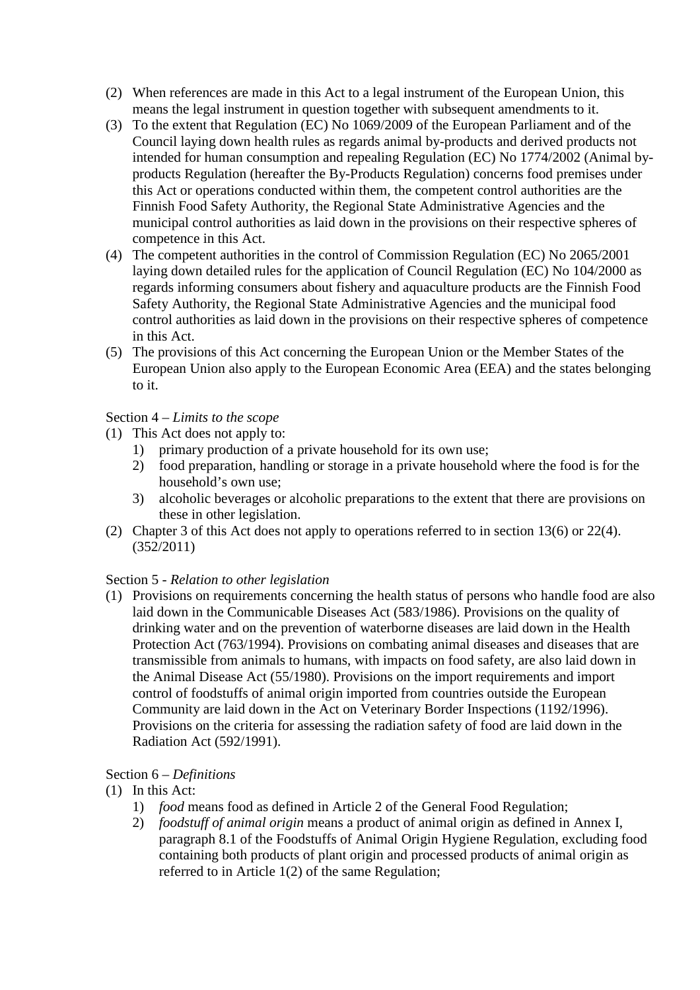- (2) When references are made in this Act to a legal instrument of the European Union, this means the legal instrument in question together with subsequent amendments to it.
- (3) To the extent that Regulation (EC) No 1069/2009 of the European Parliament and of the Council laying down health rules as regards animal by-products and derived products not intended for human consumption and repealing Regulation (EC) No 1774/2002 (Animal byproducts Regulation (hereafter the By-Products Regulation) concerns food premises under this Act or operations conducted within them, the competent control authorities are the Finnish Food Safety Authority, the Regional State Administrative Agencies and the municipal control authorities as laid down in the provisions on their respective spheres of competence in this Act.
- (4) The competent authorities in the control of Commission Regulation (EC) No 2065/2001 laying down detailed rules for the application of Council Regulation (EC) No 104/2000 as regards informing consumers about fishery and aquaculture products are the Finnish Food Safety Authority, the Regional State Administrative Agencies and the municipal food control authorities as laid down in the provisions on their respective spheres of competence in this Act.
- (5) The provisions of this Act concerning the European Union or the Member States of the European Union also apply to the European Economic Area (EEA) and the states belonging to it.

# Section 4 – *Limits to the scope*

- (1) This Act does not apply to:
	- 1) primary production of a private household for its own use;
	- 2) food preparation, handling or storage in a private household where the food is for the household's own use;
	- 3) alcoholic beverages or alcoholic preparations to the extent that there are provisions on these in other legislation.
- (2) Chapter 3 of this Act does not apply to operations referred to in section 13(6) or 22(4). (352/2011)

#### Section 5 - *Relation to other legislation*

(1) Provisions on requirements concerning the health status of persons who handle food are also laid down in the Communicable Diseases Act (583/1986). Provisions on the quality of drinking water and on the prevention of waterborne diseases are laid down in the Health Protection Act (763/1994). Provisions on combating animal diseases and diseases that are transmissible from animals to humans, with impacts on food safety, are also laid down in the Animal Disease Act (55/1980). Provisions on the import requirements and import control of foodstuffs of animal origin imported from countries outside the European Community are laid down in the Act on Veterinary Border Inspections (1192/1996). Provisions on the criteria for assessing the radiation safety of food are laid down in the Radiation Act (592/1991).

# Section 6 – *Definitions*

- (1) In this Act:
	- 1) *food* means food as defined in Article 2 of the General Food Regulation;
	- 2) *foodstuff of animal origin* means a product of animal origin as defined in Annex I, paragraph 8.1 of the Foodstuffs of Animal Origin Hygiene Regulation, excluding food containing both products of plant origin and processed products of animal origin as referred to in Article 1(2) of the same Regulation;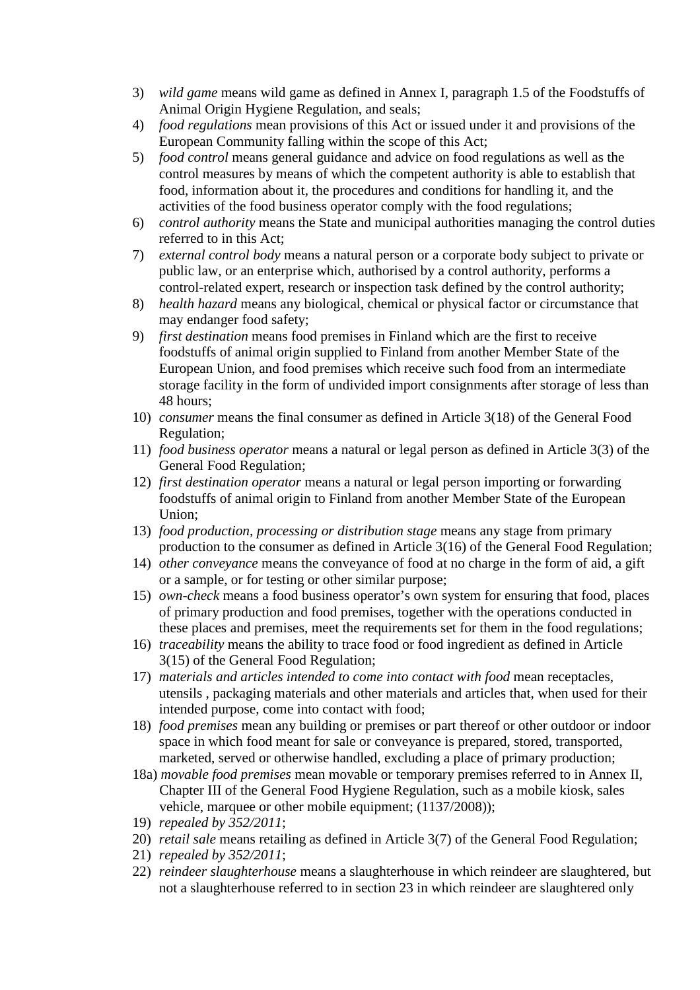- 3) *wild game* means wild game as defined in Annex I, paragraph 1.5 of the Foodstuffs of Animal Origin Hygiene Regulation, and seals;
- 4) *food regulations* mean provisions of this Act or issued under it and provisions of the European Community falling within the scope of this Act;
- 5) *food control* means general guidance and advice on food regulations as well as the control measures by means of which the competent authority is able to establish that food, information about it, the procedures and conditions for handling it, and the activities of the food business operator comply with the food regulations;
- 6) *control authority* means the State and municipal authorities managing the control duties referred to in this Act;
- 7) *external control body* means a natural person or a corporate body subject to private or public law, or an enterprise which, authorised by a control authority, performs a control-related expert, research or inspection task defined by the control authority;
- 8) *health hazard* means any biological, chemical or physical factor or circumstance that may endanger food safety;
- 9) *first destination* means food premises in Finland which are the first to receive foodstuffs of animal origin supplied to Finland from another Member State of the European Union, and food premises which receive such food from an intermediate storage facility in the form of undivided import consignments after storage of less than 48 hours;
- 10) *consumer* means the final consumer as defined in Article 3(18) of the General Food Regulation;
- 11) *food business operator* means a natural or legal person as defined in Article 3(3) of the General Food Regulation;
- 12) *first destination operator* means a natural or legal person importing or forwarding foodstuffs of animal origin to Finland from another Member State of the European Union;
- 13) *food production, processing or distribution stage* means any stage from primary production to the consumer as defined in Article 3(16) of the General Food Regulation;
- 14) *other conveyance* means the conveyance of food at no charge in the form of aid, a gift or a sample, or for testing or other similar purpose;
- 15) *own-check* means a food business operator's own system for ensuring that food, places of primary production and food premises, together with the operations conducted in these places and premises, meet the requirements set for them in the food regulations;
- 16) *traceability* means the ability to trace food or food ingredient as defined in Article 3(15) of the General Food Regulation;
- 17) *materials and articles intended to come into contact with food* mean receptacles, utensils , packaging materials and other materials and articles that, when used for their intended purpose, come into contact with food;
- 18) *food premises* mean any building or premises or part thereof or other outdoor or indoor space in which food meant for sale or conveyance is prepared, stored, transported, marketed, served or otherwise handled, excluding a place of primary production;
- 18a) *movable food premises* mean movable or temporary premises referred to in Annex II, Chapter III of the General Food Hygiene Regulation, such as a mobile kiosk, sales vehicle, marquee or other mobile equipment; (1137/2008));
- 19) *repealed by 352/2011*;
- 20) *retail sale* means retailing as defined in Article 3(7) of the General Food Regulation;
- 21) *repealed by 352/2011*;
- 22) *reindeer slaughterhouse* means a slaughterhouse in which reindeer are slaughtered, but not a slaughterhouse referred to in section 23 in which reindeer are slaughtered only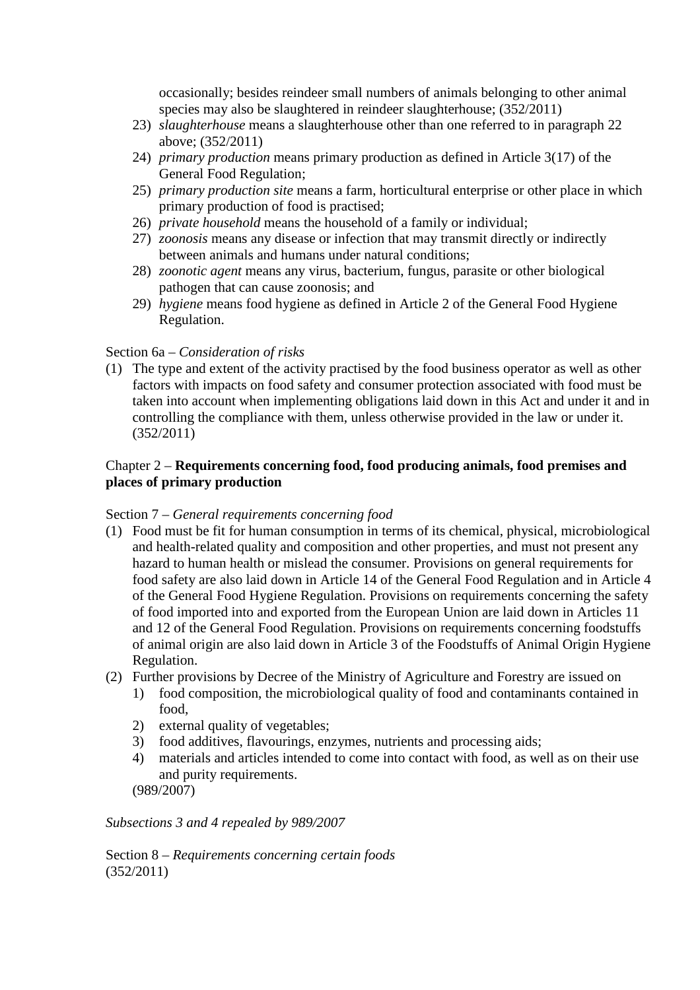occasionally; besides reindeer small numbers of animals belonging to other animal species may also be slaughtered in reindeer slaughterhouse; (352/2011)

- 23) *slaughterhouse* means a slaughterhouse other than one referred to in paragraph 22 above; (352/2011)
- 24) *primary production* means primary production as defined in Article 3(17) of the General Food Regulation;
- 25) *primary production site* means a farm, horticultural enterprise or other place in which primary production of food is practised;
- 26) *private household* means the household of a family or individual;
- 27) *zoonosis* means any disease or infection that may transmit directly or indirectly between animals and humans under natural conditions;
- 28) *zoonotic agent* means any virus, bacterium, fungus, parasite or other biological pathogen that can cause zoonosis; and
- 29) *hygiene* means food hygiene as defined in Article 2 of the General Food Hygiene Regulation.

### Section 6a – *Consideration of risks*

(1) The type and extent of the activity practised by the food business operator as well as other factors with impacts on food safety and consumer protection associated with food must be taken into account when implementing obligations laid down in this Act and under it and in controlling the compliance with them, unless otherwise provided in the law or under it. (352/2011)

# Chapter 2 – **Requirements concerning food, food producing animals, food premises and places of primary production**

#### Section 7 – *General requirements concerning food*

- (1) Food must be fit for human consumption in terms of its chemical, physical, microbiological and health-related quality and composition and other properties, and must not present any hazard to human health or mislead the consumer. Provisions on general requirements for food safety are also laid down in Article 14 of the General Food Regulation and in Article 4 of the General Food Hygiene Regulation. Provisions on requirements concerning the safety of food imported into and exported from the European Union are laid down in Articles 11 and 12 of the General Food Regulation. Provisions on requirements concerning foodstuffs of animal origin are also laid down in Article 3 of the Foodstuffs of Animal Origin Hygiene Regulation.
- (2) Further provisions by Decree of the Ministry of Agriculture and Forestry are issued on
	- 1) food composition, the microbiological quality of food and contaminants contained in food,
	- 2) external quality of vegetables;
	- 3) food additives, flavourings, enzymes, nutrients and processing aids;
	- 4) materials and articles intended to come into contact with food, as well as on their use and purity requirements.
	- (989/2007)

*Subsections 3 and 4 repealed by 989/2007* 

Section 8 – *Requirements concerning certain foods*  (352/2011)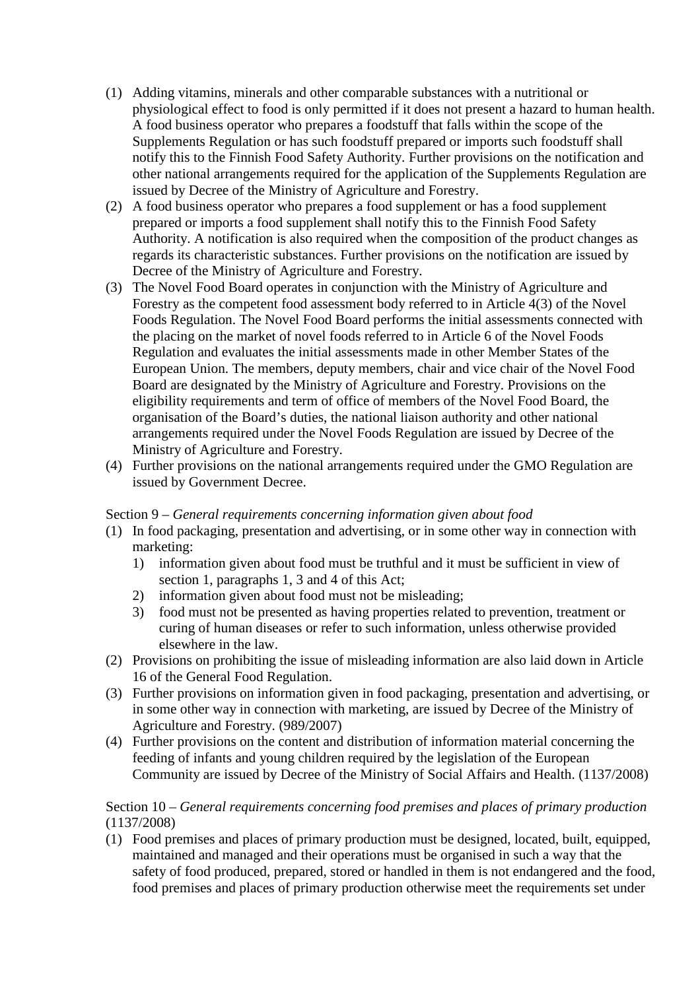- (1) Adding vitamins, minerals and other comparable substances with a nutritional or physiological effect to food is only permitted if it does not present a hazard to human health. A food business operator who prepares a foodstuff that falls within the scope of the Supplements Regulation or has such foodstuff prepared or imports such foodstuff shall notify this to the Finnish Food Safety Authority. Further provisions on the notification and other national arrangements required for the application of the Supplements Regulation are issued by Decree of the Ministry of Agriculture and Forestry.
- (2) A food business operator who prepares a food supplement or has a food supplement prepared or imports a food supplement shall notify this to the Finnish Food Safety Authority. A notification is also required when the composition of the product changes as regards its characteristic substances. Further provisions on the notification are issued by Decree of the Ministry of Agriculture and Forestry.
- (3) The Novel Food Board operates in conjunction with the Ministry of Agriculture and Forestry as the competent food assessment body referred to in Article 4(3) of the Novel Foods Regulation. The Novel Food Board performs the initial assessments connected with the placing on the market of novel foods referred to in Article 6 of the Novel Foods Regulation and evaluates the initial assessments made in other Member States of the European Union. The members, deputy members, chair and vice chair of the Novel Food Board are designated by the Ministry of Agriculture and Forestry. Provisions on the eligibility requirements and term of office of members of the Novel Food Board, the organisation of the Board's duties, the national liaison authority and other national arrangements required under the Novel Foods Regulation are issued by Decree of the Ministry of Agriculture and Forestry.
- (4) Further provisions on the national arrangements required under the GMO Regulation are issued by Government Decree.

#### Section 9 – *General requirements concerning information given about food*

- (1) In food packaging, presentation and advertising, or in some other way in connection with marketing:
	- 1) information given about food must be truthful and it must be sufficient in view of section 1, paragraphs 1, 3 and 4 of this Act;
	- 2) information given about food must not be misleading;
	- 3) food must not be presented as having properties related to prevention, treatment or curing of human diseases or refer to such information, unless otherwise provided elsewhere in the law.
- (2) Provisions on prohibiting the issue of misleading information are also laid down in Article 16 of the General Food Regulation.
- (3) Further provisions on information given in food packaging, presentation and advertising, or in some other way in connection with marketing, are issued by Decree of the Ministry of Agriculture and Forestry. (989/2007)
- (4) Further provisions on the content and distribution of information material concerning the feeding of infants and young children required by the legislation of the European Community are issued by Decree of the Ministry of Social Affairs and Health. (1137/2008)

# Section 10 – *General requirements concerning food premises and places of primary production*  (1137/2008)

(1) Food premises and places of primary production must be designed, located, built, equipped, maintained and managed and their operations must be organised in such a way that the safety of food produced, prepared, stored or handled in them is not endangered and the food, food premises and places of primary production otherwise meet the requirements set under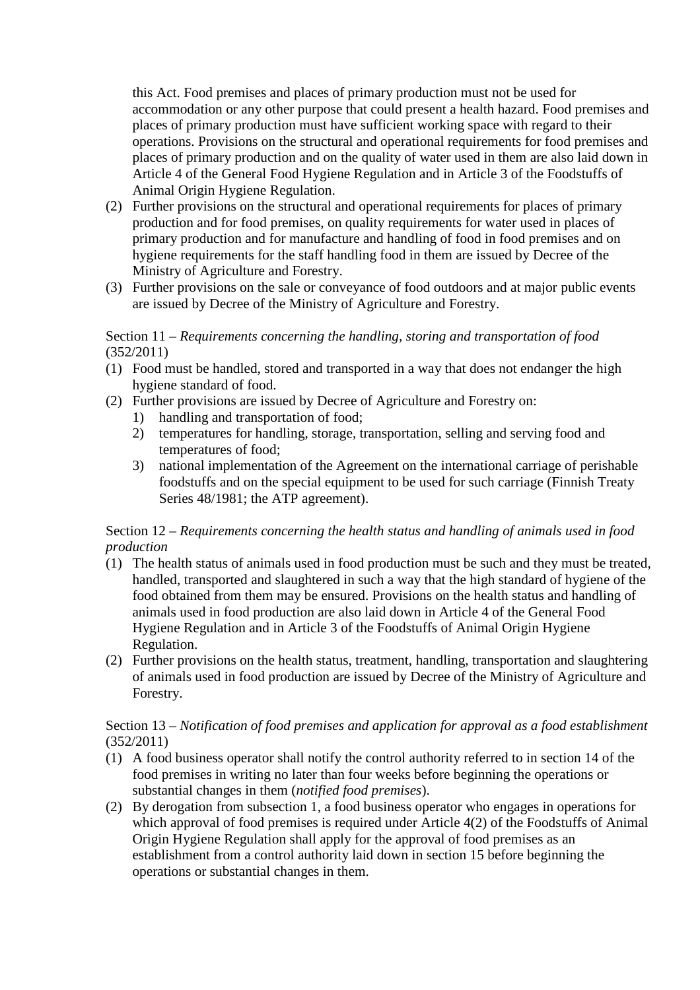this Act. Food premises and places of primary production must not be used for accommodation or any other purpose that could present a health hazard. Food premises and places of primary production must have sufficient working space with regard to their operations. Provisions on the structural and operational requirements for food premises and places of primary production and on the quality of water used in them are also laid down in Article 4 of the General Food Hygiene Regulation and in Article 3 of the Foodstuffs of Animal Origin Hygiene Regulation.

- (2) Further provisions on the structural and operational requirements for places of primary production and for food premises, on quality requirements for water used in places of primary production and for manufacture and handling of food in food premises and on hygiene requirements for the staff handling food in them are issued by Decree of the Ministry of Agriculture and Forestry.
- (3) Further provisions on the sale or conveyance of food outdoors and at major public events are issued by Decree of the Ministry of Agriculture and Forestry.

## Section 11 – *Requirements concerning the handling, storing and transportation of food*  (352/2011)

- (1) Food must be handled, stored and transported in a way that does not endanger the high hygiene standard of food.
- (2) Further provisions are issued by Decree of Agriculture and Forestry on:
	- 1) handling and transportation of food;
	- 2) temperatures for handling, storage, transportation, selling and serving food and temperatures of food;
	- 3) national implementation of the Agreement on the international carriage of perishable foodstuffs and on the special equipment to be used for such carriage (Finnish Treaty Series 48/1981; the ATP agreement).

# Section 12 – *Requirements concerning the health status and handling of animals used in food production*

- (1) The health status of animals used in food production must be such and they must be treated, handled, transported and slaughtered in such a way that the high standard of hygiene of the food obtained from them may be ensured. Provisions on the health status and handling of animals used in food production are also laid down in Article 4 of the General Food Hygiene Regulation and in Article 3 of the Foodstuffs of Animal Origin Hygiene Regulation.
- (2) Further provisions on the health status, treatment, handling, transportation and slaughtering of animals used in food production are issued by Decree of the Ministry of Agriculture and Forestry.

# Section 13 – *Notification of food premises and application for approval as a food establishment*  (352/2011)

- (1) A food business operator shall notify the control authority referred to in section 14 of the food premises in writing no later than four weeks before beginning the operations or substantial changes in them (*notified food premises*).
- (2) By derogation from subsection 1, a food business operator who engages in operations for which approval of food premises is required under Article 4(2) of the Foodstuffs of Animal Origin Hygiene Regulation shall apply for the approval of food premises as an establishment from a control authority laid down in section 15 before beginning the operations or substantial changes in them.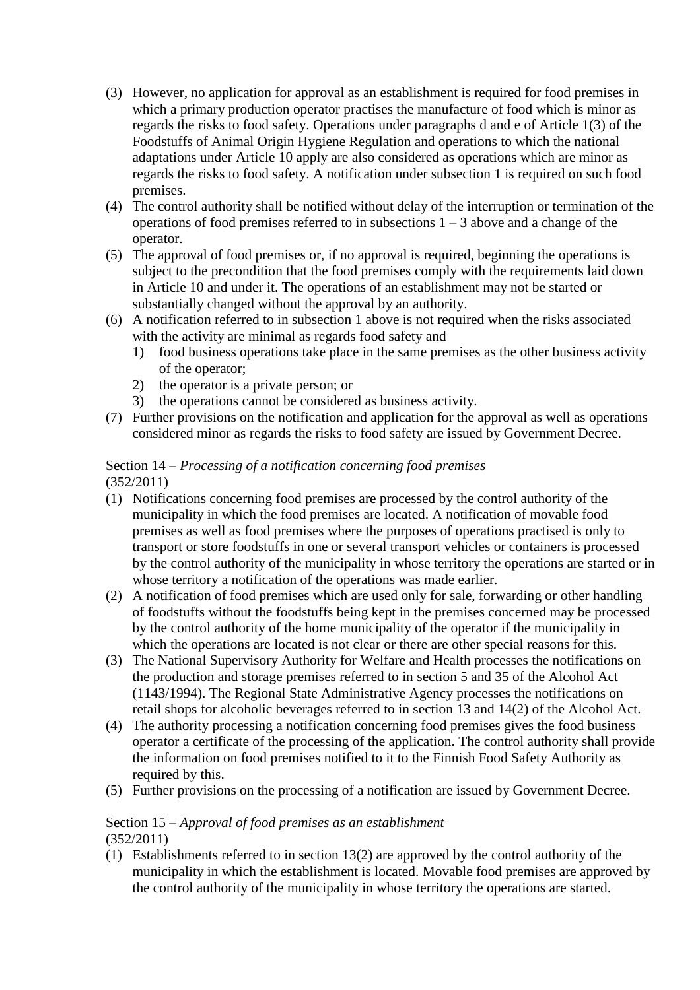- (3) However, no application for approval as an establishment is required for food premises in which a primary production operator practises the manufacture of food which is minor as regards the risks to food safety. Operations under paragraphs d and e of Article 1(3) of the Foodstuffs of Animal Origin Hygiene Regulation and operations to which the national adaptations under Article 10 apply are also considered as operations which are minor as regards the risks to food safety. A notification under subsection 1 is required on such food premises.
- (4) The control authority shall be notified without delay of the interruption or termination of the operations of food premises referred to in subsections  $1 - 3$  above and a change of the operator.
- (5) The approval of food premises or, if no approval is required, beginning the operations is subject to the precondition that the food premises comply with the requirements laid down in Article 10 and under it. The operations of an establishment may not be started or substantially changed without the approval by an authority.
- (6) A notification referred to in subsection 1 above is not required when the risks associated with the activity are minimal as regards food safety and
	- 1) food business operations take place in the same premises as the other business activity of the operator;
	- 2) the operator is a private person; or
	- 3) the operations cannot be considered as business activity.
- (7) Further provisions on the notification and application for the approval as well as operations considered minor as regards the risks to food safety are issued by Government Decree.

# Section 14 – *Processing of a notification concerning food premises*  (352/2011)

- (1) Notifications concerning food premises are processed by the control authority of the municipality in which the food premises are located. A notification of movable food premises as well as food premises where the purposes of operations practised is only to transport or store foodstuffs in one or several transport vehicles or containers is processed by the control authority of the municipality in whose territory the operations are started or in whose territory a notification of the operations was made earlier.
- (2) A notification of food premises which are used only for sale, forwarding or other handling of foodstuffs without the foodstuffs being kept in the premises concerned may be processed by the control authority of the home municipality of the operator if the municipality in which the operations are located is not clear or there are other special reasons for this.
- (3) The National Supervisory Authority for Welfare and Health processes the notifications on the production and storage premises referred to in section 5 and 35 of the Alcohol Act (1143/1994). The Regional State Administrative Agency processes the notifications on retail shops for alcoholic beverages referred to in section 13 and 14(2) of the Alcohol Act.
- (4) The authority processing a notification concerning food premises gives the food business operator a certificate of the processing of the application. The control authority shall provide the information on food premises notified to it to the Finnish Food Safety Authority as required by this.
- (5) Further provisions on the processing of a notification are issued by Government Decree.

#### Section 15 – *Approval of food premises as an establishment*  (352/2011)

(1) Establishments referred to in section 13(2) are approved by the control authority of the municipality in which the establishment is located. Movable food premises are approved by the control authority of the municipality in whose territory the operations are started.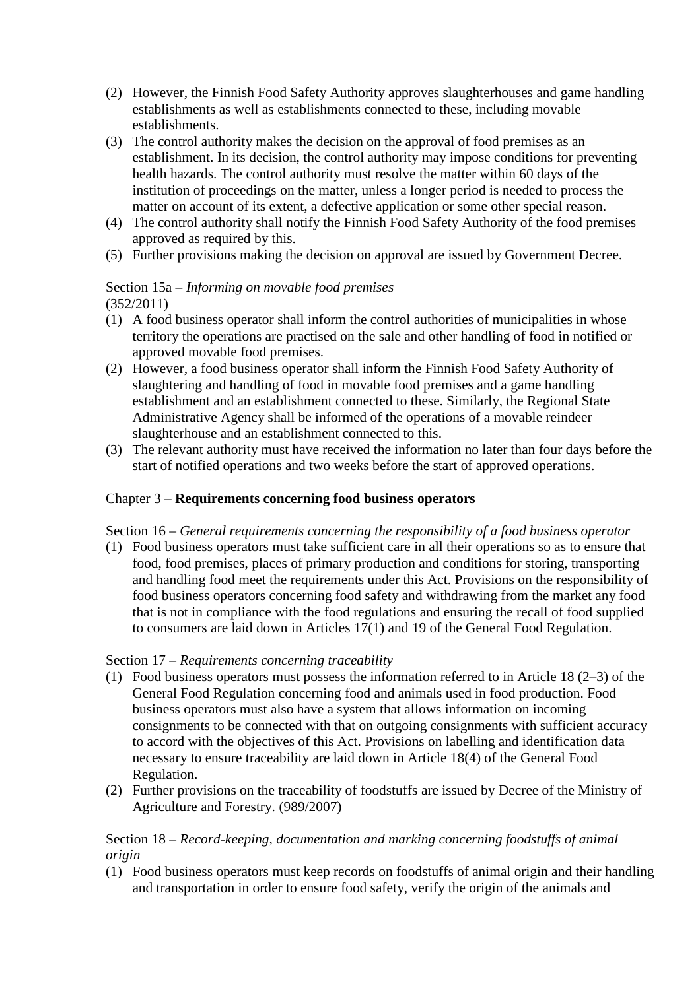- (2) However, the Finnish Food Safety Authority approves slaughterhouses and game handling establishments as well as establishments connected to these, including movable establishments.
- (3) The control authority makes the decision on the approval of food premises as an establishment. In its decision, the control authority may impose conditions for preventing health hazards. The control authority must resolve the matter within 60 days of the institution of proceedings on the matter, unless a longer period is needed to process the matter on account of its extent, a defective application or some other special reason.
- (4) The control authority shall notify the Finnish Food Safety Authority of the food premises approved as required by this.
- (5) Further provisions making the decision on approval are issued by Government Decree.

#### Section 15a – *Informing on movable food premises* (352/2011)

- (1) A food business operator shall inform the control authorities of municipalities in whose territory the operations are practised on the sale and other handling of food in notified or approved movable food premises.
- (2) However, a food business operator shall inform the Finnish Food Safety Authority of slaughtering and handling of food in movable food premises and a game handling establishment and an establishment connected to these. Similarly, the Regional State Administrative Agency shall be informed of the operations of a movable reindeer slaughterhouse and an establishment connected to this.
- (3) The relevant authority must have received the information no later than four days before the start of notified operations and two weeks before the start of approved operations.

# Chapter 3 – **Requirements concerning food business operators**

Section 16 – *General requirements concerning the responsibility of a food business operator* 

(1) Food business operators must take sufficient care in all their operations so as to ensure that food, food premises, places of primary production and conditions for storing, transporting and handling food meet the requirements under this Act. Provisions on the responsibility of food business operators concerning food safety and withdrawing from the market any food that is not in compliance with the food regulations and ensuring the recall of food supplied to consumers are laid down in Articles 17(1) and 19 of the General Food Regulation.

#### Section 17 – *Requirements concerning traceability*

- (1) Food business operators must possess the information referred to in Article 18 (2–3) of the General Food Regulation concerning food and animals used in food production. Food business operators must also have a system that allows information on incoming consignments to be connected with that on outgoing consignments with sufficient accuracy to accord with the objectives of this Act. Provisions on labelling and identification data necessary to ensure traceability are laid down in Article 18(4) of the General Food Regulation.
- (2) Further provisions on the traceability of foodstuffs are issued by Decree of the Ministry of Agriculture and Forestry. (989/2007)

# Section 18 – *Record-keeping, documentation and marking concerning foodstuffs of animal origin*

(1) Food business operators must keep records on foodstuffs of animal origin and their handling and transportation in order to ensure food safety, verify the origin of the animals and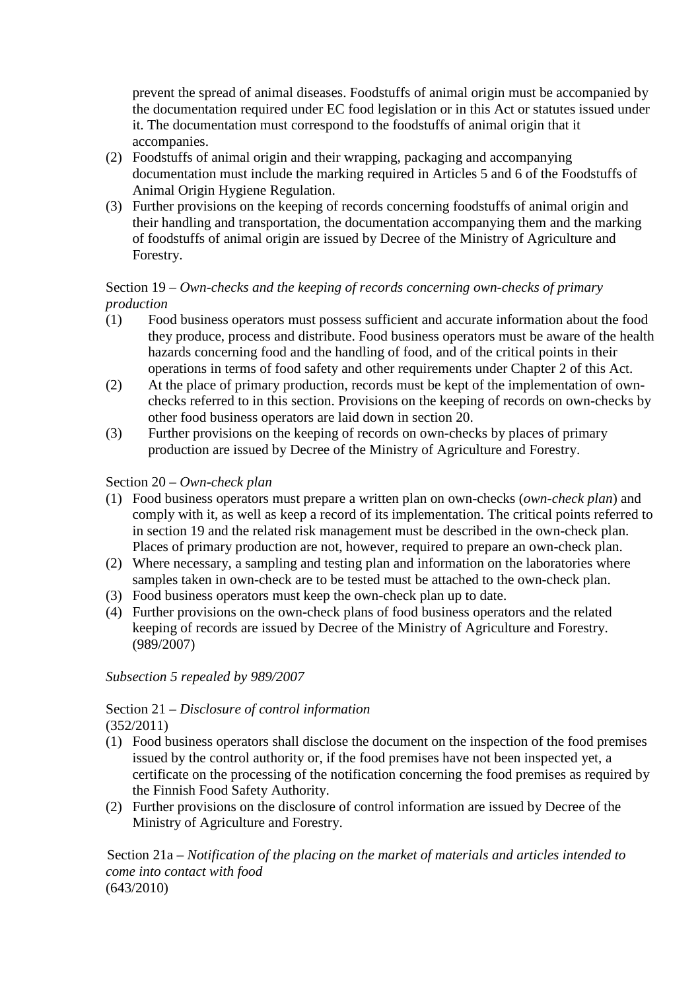prevent the spread of animal diseases. Foodstuffs of animal origin must be accompanied by the documentation required under EC food legislation or in this Act or statutes issued under it. The documentation must correspond to the foodstuffs of animal origin that it accompanies.

- (2) Foodstuffs of animal origin and their wrapping, packaging and accompanying documentation must include the marking required in Articles 5 and 6 of the Foodstuffs of Animal Origin Hygiene Regulation.
- (3) Further provisions on the keeping of records concerning foodstuffs of animal origin and their handling and transportation, the documentation accompanying them and the marking of foodstuffs of animal origin are issued by Decree of the Ministry of Agriculture and Forestry.

# Section 19 – *Own-checks and the keeping of records concerning own-checks of primary production*

- (1) Food business operators must possess sufficient and accurate information about the food they produce, process and distribute. Food business operators must be aware of the health hazards concerning food and the handling of food, and of the critical points in their operations in terms of food safety and other requirements under Chapter 2 of this Act.
- (2) At the place of primary production, records must be kept of the implementation of ownchecks referred to in this section. Provisions on the keeping of records on own-checks by other food business operators are laid down in section 20.
- (3) Further provisions on the keeping of records on own-checks by places of primary production are issued by Decree of the Ministry of Agriculture and Forestry.

### Section 20 – *Own-check plan*

- (1) Food business operators must prepare a written plan on own-checks (*own-check plan*) and comply with it, as well as keep a record of its implementation. The critical points referred to in section 19 and the related risk management must be described in the own-check plan. Places of primary production are not, however, required to prepare an own-check plan.
- (2) Where necessary, a sampling and testing plan and information on the laboratories where samples taken in own-check are to be tested must be attached to the own-check plan.
- (3) Food business operators must keep the own-check plan up to date.
- (4) Further provisions on the own-check plans of food business operators and the related keeping of records are issued by Decree of the Ministry of Agriculture and Forestry. (989/2007)

*Subsection 5 repealed by 989/2007* 

#### Section 21 – *Disclosure of control information* (352/2011)

- (1) Food business operators shall disclose the document on the inspection of the food premises issued by the control authority or, if the food premises have not been inspected yet, a certificate on the processing of the notification concerning the food premises as required by the Finnish Food Safety Authority.
- (2) Further provisions on the disclosure of control information are issued by Decree of the Ministry of Agriculture and Forestry.

Section 21a – *Notification of the placing on the market of materials and articles intended to come into contact with food*  (643/2010)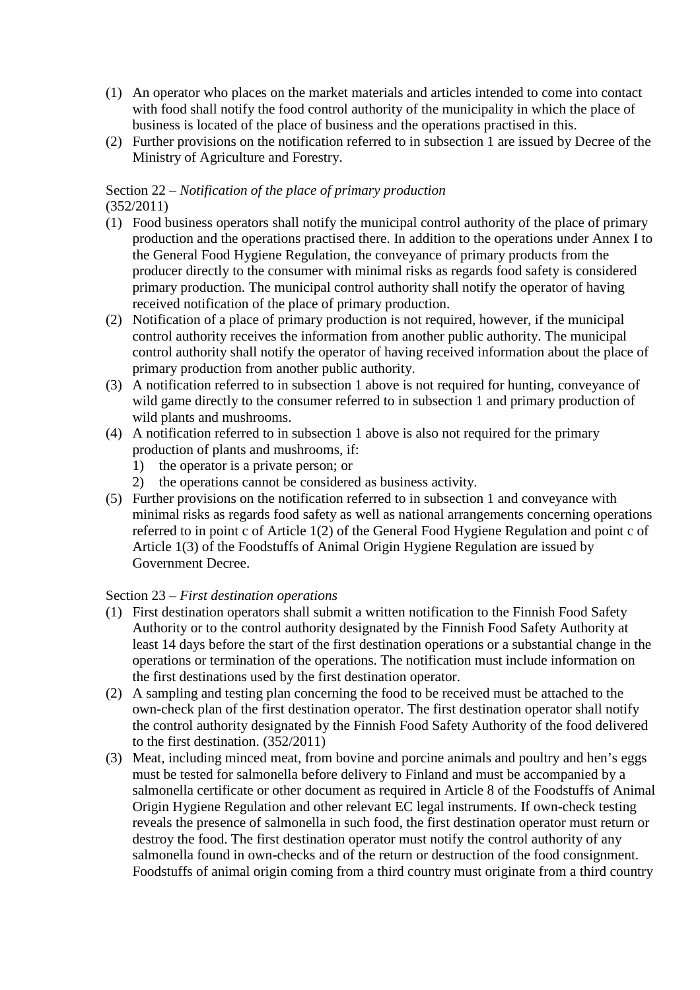- (1) An operator who places on the market materials and articles intended to come into contact with food shall notify the food control authority of the municipality in which the place of business is located of the place of business and the operations practised in this.
- (2) Further provisions on the notification referred to in subsection 1 are issued by Decree of the Ministry of Agriculture and Forestry.

#### Section 22 – *Notification of the place of primary production* (352/2011)

- (1) Food business operators shall notify the municipal control authority of the place of primary production and the operations practised there. In addition to the operations under Annex I to the General Food Hygiene Regulation, the conveyance of primary products from the producer directly to the consumer with minimal risks as regards food safety is considered primary production. The municipal control authority shall notify the operator of having received notification of the place of primary production.
- (2) Notification of a place of primary production is not required, however, if the municipal control authority receives the information from another public authority. The municipal control authority shall notify the operator of having received information about the place of primary production from another public authority.
- (3) A notification referred to in subsection 1 above is not required for hunting, conveyance of wild game directly to the consumer referred to in subsection 1 and primary production of wild plants and mushrooms.
- (4) A notification referred to in subsection 1 above is also not required for the primary production of plants and mushrooms, if:
	- 1) the operator is a private person; or
	- 2) the operations cannot be considered as business activity.
- (5) Further provisions on the notification referred to in subsection 1 and conveyance with minimal risks as regards food safety as well as national arrangements concerning operations referred to in point c of Article 1(2) of the General Food Hygiene Regulation and point c of Article 1(3) of the Foodstuffs of Animal Origin Hygiene Regulation are issued by Government Decree.

# Section 23 – *First destination operations*

- (1) First destination operators shall submit a written notification to the Finnish Food Safety Authority or to the control authority designated by the Finnish Food Safety Authority at least 14 days before the start of the first destination operations or a substantial change in the operations or termination of the operations. The notification must include information on the first destinations used by the first destination operator.
- (2) A sampling and testing plan concerning the food to be received must be attached to the own-check plan of the first destination operator. The first destination operator shall notify the control authority designated by the Finnish Food Safety Authority of the food delivered to the first destination. (352/2011)
- (3) Meat, including minced meat, from bovine and porcine animals and poultry and hen's eggs must be tested for salmonella before delivery to Finland and must be accompanied by a salmonella certificate or other document as required in Article 8 of the Foodstuffs of Animal Origin Hygiene Regulation and other relevant EC legal instruments. If own-check testing reveals the presence of salmonella in such food, the first destination operator must return or destroy the food. The first destination operator must notify the control authority of any salmonella found in own-checks and of the return or destruction of the food consignment. Foodstuffs of animal origin coming from a third country must originate from a third country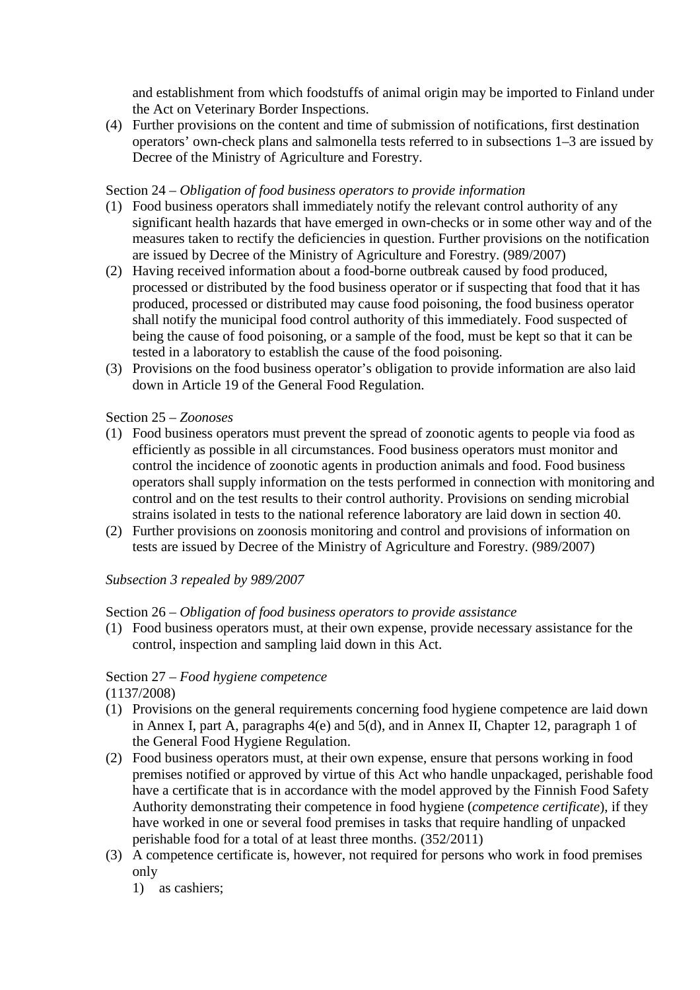and establishment from which foodstuffs of animal origin may be imported to Finland under the Act on Veterinary Border Inspections.

(4) Further provisions on the content and time of submission of notifications, first destination operators' own-check plans and salmonella tests referred to in subsections 1–3 are issued by Decree of the Ministry of Agriculture and Forestry.

### Section 24 – *Obligation of food business operators to provide information*

- (1) Food business operators shall immediately notify the relevant control authority of any significant health hazards that have emerged in own-checks or in some other way and of the measures taken to rectify the deficiencies in question. Further provisions on the notification are issued by Decree of the Ministry of Agriculture and Forestry. (989/2007)
- (2) Having received information about a food-borne outbreak caused by food produced, processed or distributed by the food business operator or if suspecting that food that it has produced, processed or distributed may cause food poisoning, the food business operator shall notify the municipal food control authority of this immediately. Food suspected of being the cause of food poisoning, or a sample of the food, must be kept so that it can be tested in a laboratory to establish the cause of the food poisoning.
- (3) Provisions on the food business operator's obligation to provide information are also laid down in Article 19 of the General Food Regulation.

### Section 25 – *Zoonoses*

- (1) Food business operators must prevent the spread of zoonotic agents to people via food as efficiently as possible in all circumstances. Food business operators must monitor and control the incidence of zoonotic agents in production animals and food. Food business operators shall supply information on the tests performed in connection with monitoring and control and on the test results to their control authority. Provisions on sending microbial strains isolated in tests to the national reference laboratory are laid down in section 40.
- (2) Further provisions on zoonosis monitoring and control and provisions of information on tests are issued by Decree of the Ministry of Agriculture and Forestry. (989/2007)

# *Subsection 3 repealed by 989/2007*

#### Section 26 – *Obligation of food business operators to provide assistance*

(1) Food business operators must, at their own expense, provide necessary assistance for the control, inspection and sampling laid down in this Act.

# Section 27 – *Food hygiene competence*

(1137/2008)

- (1) Provisions on the general requirements concerning food hygiene competence are laid down in Annex I, part A, paragraphs 4(e) and 5(d), and in Annex II, Chapter 12, paragraph 1 of the General Food Hygiene Regulation.
- (2) Food business operators must, at their own expense, ensure that persons working in food premises notified or approved by virtue of this Act who handle unpackaged, perishable food have a certificate that is in accordance with the model approved by the Finnish Food Safety Authority demonstrating their competence in food hygiene (*competence certificate*), if they have worked in one or several food premises in tasks that require handling of unpacked perishable food for a total of at least three months. (352/2011)
- (3) A competence certificate is, however, not required for persons who work in food premises only
	- 1) as cashiers;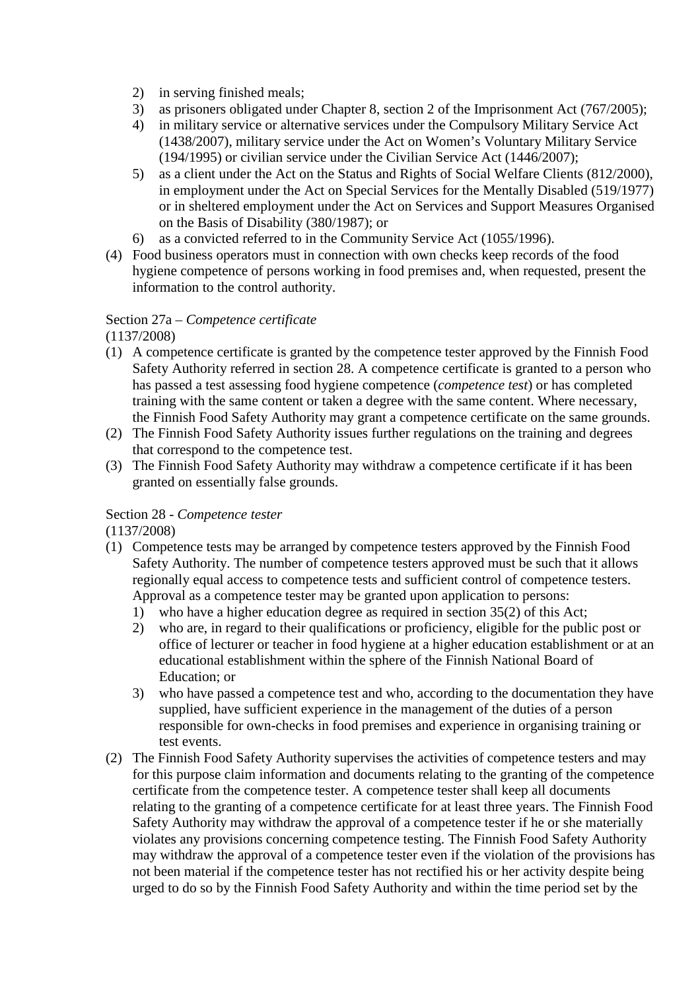- 2) in serving finished meals;
- 3) as prisoners obligated under Chapter 8, section 2 of the Imprisonment Act (767/2005);
- 4) in military service or alternative services under the Compulsory Military Service Act (1438/2007), military service under the Act on Women's Voluntary Military Service (194/1995) or civilian service under the Civilian Service Act (1446/2007);
- 5) as a client under the Act on the Status and Rights of Social Welfare Clients (812/2000), in employment under the Act on Special Services for the Mentally Disabled (519/1977) or in sheltered employment under the Act on Services and Support Measures Organised on the Basis of Disability (380/1987); or
- 6) as a convicted referred to in the Community Service Act (1055/1996).
- (4) Food business operators must in connection with own checks keep records of the food hygiene competence of persons working in food premises and, when requested, present the information to the control authority.

### Section 27a – *Competence certificate*

(1137/2008)

- (1) A competence certificate is granted by the competence tester approved by the Finnish Food Safety Authority referred in section 28. A competence certificate is granted to a person who has passed a test assessing food hygiene competence (*competence test*) or has completed training with the same content or taken a degree with the same content. Where necessary, the Finnish Food Safety Authority may grant a competence certificate on the same grounds.
- (2) The Finnish Food Safety Authority issues further regulations on the training and degrees that correspond to the competence test.
- (3) The Finnish Food Safety Authority may withdraw a competence certificate if it has been granted on essentially false grounds.

# Section 28 - *Competence tester*

(1137/2008)

- (1) Competence tests may be arranged by competence testers approved by the Finnish Food Safety Authority. The number of competence testers approved must be such that it allows regionally equal access to competence tests and sufficient control of competence testers. Approval as a competence tester may be granted upon application to persons:
	- 1) who have a higher education degree as required in section 35(2) of this Act;
	- 2) who are, in regard to their qualifications or proficiency, eligible for the public post or office of lecturer or teacher in food hygiene at a higher education establishment or at an educational establishment within the sphere of the Finnish National Board of Education; or
	- 3) who have passed a competence test and who, according to the documentation they have supplied, have sufficient experience in the management of the duties of a person responsible for own-checks in food premises and experience in organising training or test events.
- (2) The Finnish Food Safety Authority supervises the activities of competence testers and may for this purpose claim information and documents relating to the granting of the competence certificate from the competence tester. A competence tester shall keep all documents relating to the granting of a competence certificate for at least three years. The Finnish Food Safety Authority may withdraw the approval of a competence tester if he or she materially violates any provisions concerning competence testing. The Finnish Food Safety Authority may withdraw the approval of a competence tester even if the violation of the provisions has not been material if the competence tester has not rectified his or her activity despite being urged to do so by the Finnish Food Safety Authority and within the time period set by the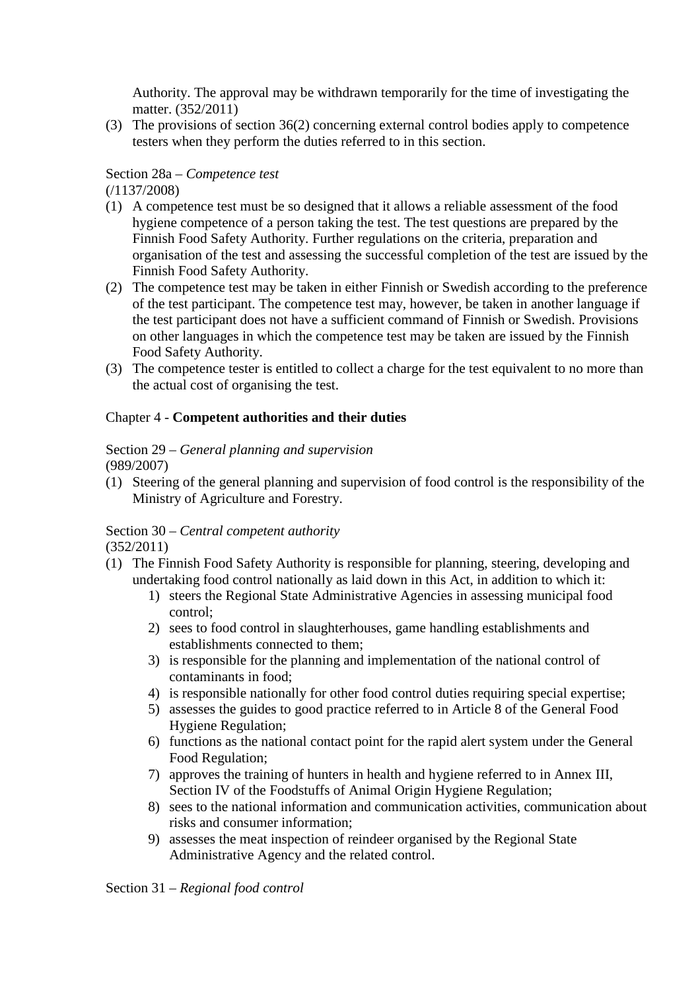Authority. The approval may be withdrawn temporarily for the time of investigating the matter. (352/2011)

(3) The provisions of section 36(2) concerning external control bodies apply to competence testers when they perform the duties referred to in this section.

# Section 28a – *Competence test*

(/1137/2008)

- (1) A competence test must be so designed that it allows a reliable assessment of the food hygiene competence of a person taking the test. The test questions are prepared by the Finnish Food Safety Authority. Further regulations on the criteria, preparation and organisation of the test and assessing the successful completion of the test are issued by the Finnish Food Safety Authority.
- (2) The competence test may be taken in either Finnish or Swedish according to the preference of the test participant. The competence test may, however, be taken in another language if the test participant does not have a sufficient command of Finnish or Swedish. Provisions on other languages in which the competence test may be taken are issued by the Finnish Food Safety Authority.
- (3) The competence tester is entitled to collect a charge for the test equivalent to no more than the actual cost of organising the test.

# Chapter 4 - **Competent authorities and their duties**

#### Section 29 – *General planning and supervision*  (989/2007)

(1) Steering of the general planning and supervision of food control is the responsibility of the Ministry of Agriculture and Forestry.

# Section 30 – *Central competent authority*

(352/2011)

- (1) The Finnish Food Safety Authority is responsible for planning, steering, developing and undertaking food control nationally as laid down in this Act, in addition to which it:
	- 1) steers the Regional State Administrative Agencies in assessing municipal food control;
	- 2) sees to food control in slaughterhouses, game handling establishments and establishments connected to them;
	- 3) is responsible for the planning and implementation of the national control of contaminants in food;
	- 4) is responsible nationally for other food control duties requiring special expertise;
	- 5) assesses the guides to good practice referred to in Article 8 of the General Food Hygiene Regulation;
	- 6) functions as the national contact point for the rapid alert system under the General Food Regulation;
	- 7) approves the training of hunters in health and hygiene referred to in Annex III, Section IV of the Foodstuffs of Animal Origin Hygiene Regulation;
	- 8) sees to the national information and communication activities, communication about risks and consumer information;
	- 9) assesses the meat inspection of reindeer organised by the Regional State Administrative Agency and the related control.

Section 31 – *Regional food control*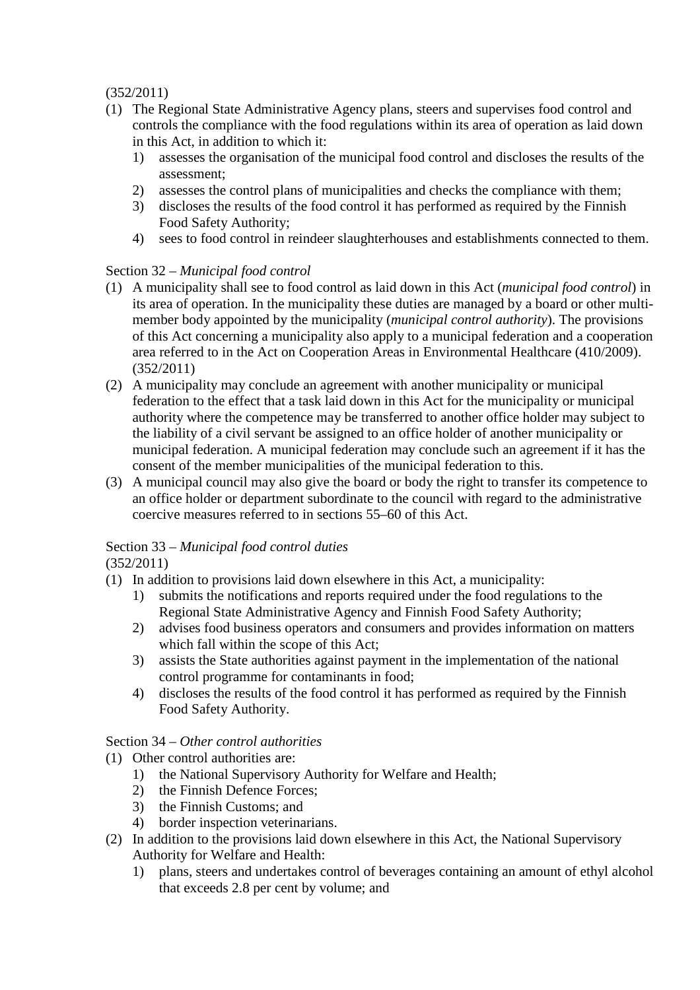(352/2011)

- (1) The Regional State Administrative Agency plans, steers and supervises food control and controls the compliance with the food regulations within its area of operation as laid down in this Act, in addition to which it:
	- 1) assesses the organisation of the municipal food control and discloses the results of the assessment;
	- 2) assesses the control plans of municipalities and checks the compliance with them;
	- 3) discloses the results of the food control it has performed as required by the Finnish Food Safety Authority;
	- 4) sees to food control in reindeer slaughterhouses and establishments connected to them.

# Section 32 – *Municipal food control*

- (1) A municipality shall see to food control as laid down in this Act (*municipal food control*) in its area of operation. In the municipality these duties are managed by a board or other multimember body appointed by the municipality (*municipal control authority*). The provisions of this Act concerning a municipality also apply to a municipal federation and a cooperation area referred to in the Act on Cooperation Areas in Environmental Healthcare (410/2009). (352/2011)
- (2) A municipality may conclude an agreement with another municipality or municipal federation to the effect that a task laid down in this Act for the municipality or municipal authority where the competence may be transferred to another office holder may subject to the liability of a civil servant be assigned to an office holder of another municipality or municipal federation. A municipal federation may conclude such an agreement if it has the consent of the member municipalities of the municipal federation to this.
- (3) A municipal council may also give the board or body the right to transfer its competence to an office holder or department subordinate to the council with regard to the administrative coercive measures referred to in sections 55–60 of this Act.

# Section 33 – *Municipal food control duties*

(352/2011)

- (1) In addition to provisions laid down elsewhere in this Act, a municipality:
	- 1) submits the notifications and reports required under the food regulations to the Regional State Administrative Agency and Finnish Food Safety Authority;
	- 2) advises food business operators and consumers and provides information on matters which fall within the scope of this Act;
	- 3) assists the State authorities against payment in the implementation of the national control programme for contaminants in food;
	- 4) discloses the results of the food control it has performed as required by the Finnish Food Safety Authority.

# Section 34 – *Other control authorities*

- (1) Other control authorities are:
	- 1) the National Supervisory Authority for Welfare and Health;
	- 2) the Finnish Defence Forces;
	- 3) the Finnish Customs; and
	- 4) border inspection veterinarians.
- (2) In addition to the provisions laid down elsewhere in this Act, the National Supervisory Authority for Welfare and Health:
	- 1) plans, steers and undertakes control of beverages containing an amount of ethyl alcohol that exceeds 2.8 per cent by volume; and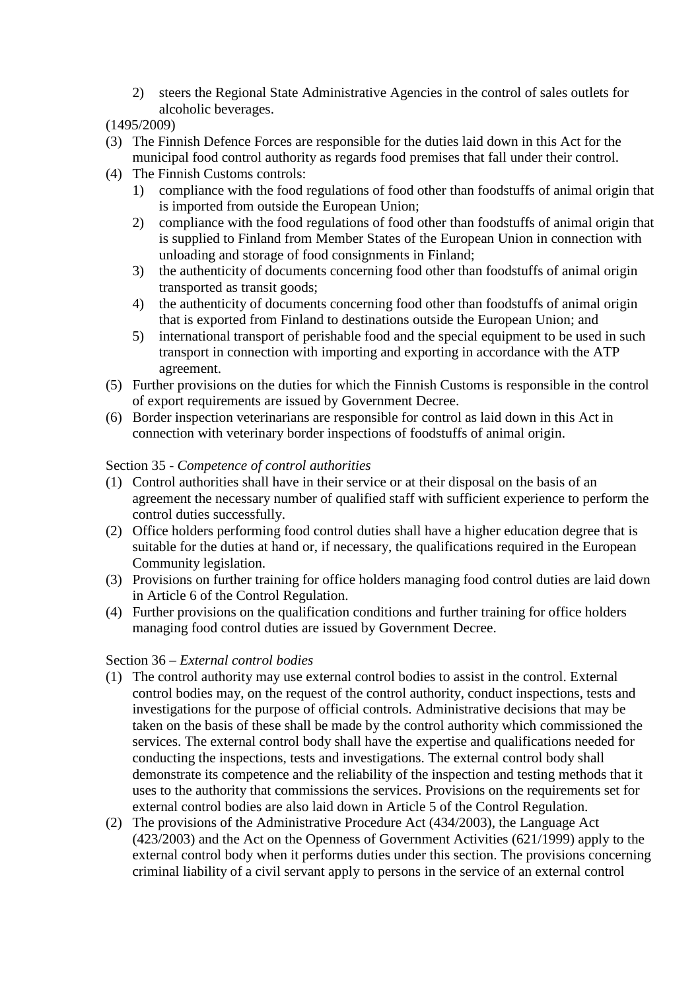- 2) steers the Regional State Administrative Agencies in the control of sales outlets for alcoholic beverages.
- (1495/2009)
- (3) The Finnish Defence Forces are responsible for the duties laid down in this Act for the municipal food control authority as regards food premises that fall under their control.
- (4) The Finnish Customs controls:
	- 1) compliance with the food regulations of food other than foodstuffs of animal origin that is imported from outside the European Union;
	- 2) compliance with the food regulations of food other than foodstuffs of animal origin that is supplied to Finland from Member States of the European Union in connection with unloading and storage of food consignments in Finland;
	- 3) the authenticity of documents concerning food other than foodstuffs of animal origin transported as transit goods;
	- 4) the authenticity of documents concerning food other than foodstuffs of animal origin that is exported from Finland to destinations outside the European Union; and
	- 5) international transport of perishable food and the special equipment to be used in such transport in connection with importing and exporting in accordance with the ATP agreement.
- (5) Further provisions on the duties for which the Finnish Customs is responsible in the control of export requirements are issued by Government Decree.
- (6) Border inspection veterinarians are responsible for control as laid down in this Act in connection with veterinary border inspections of foodstuffs of animal origin.

### Section 35 - *Competence of control authorities*

- (1) Control authorities shall have in their service or at their disposal on the basis of an agreement the necessary number of qualified staff with sufficient experience to perform the control duties successfully.
- (2) Office holders performing food control duties shall have a higher education degree that is suitable for the duties at hand or, if necessary, the qualifications required in the European Community legislation.
- (3) Provisions on further training for office holders managing food control duties are laid down in Article 6 of the Control Regulation.
- (4) Further provisions on the qualification conditions and further training for office holders managing food control duties are issued by Government Decree.

#### Section 36 – *External control bodies*

- (1) The control authority may use external control bodies to assist in the control. External control bodies may, on the request of the control authority, conduct inspections, tests and investigations for the purpose of official controls. Administrative decisions that may be taken on the basis of these shall be made by the control authority which commissioned the services. The external control body shall have the expertise and qualifications needed for conducting the inspections, tests and investigations. The external control body shall demonstrate its competence and the reliability of the inspection and testing methods that it uses to the authority that commissions the services. Provisions on the requirements set for external control bodies are also laid down in Article 5 of the Control Regulation.
- (2) The provisions of the Administrative Procedure Act (434/2003), the Language Act (423/2003) and the Act on the Openness of Government Activities (621/1999) apply to the external control body when it performs duties under this section. The provisions concerning criminal liability of a civil servant apply to persons in the service of an external control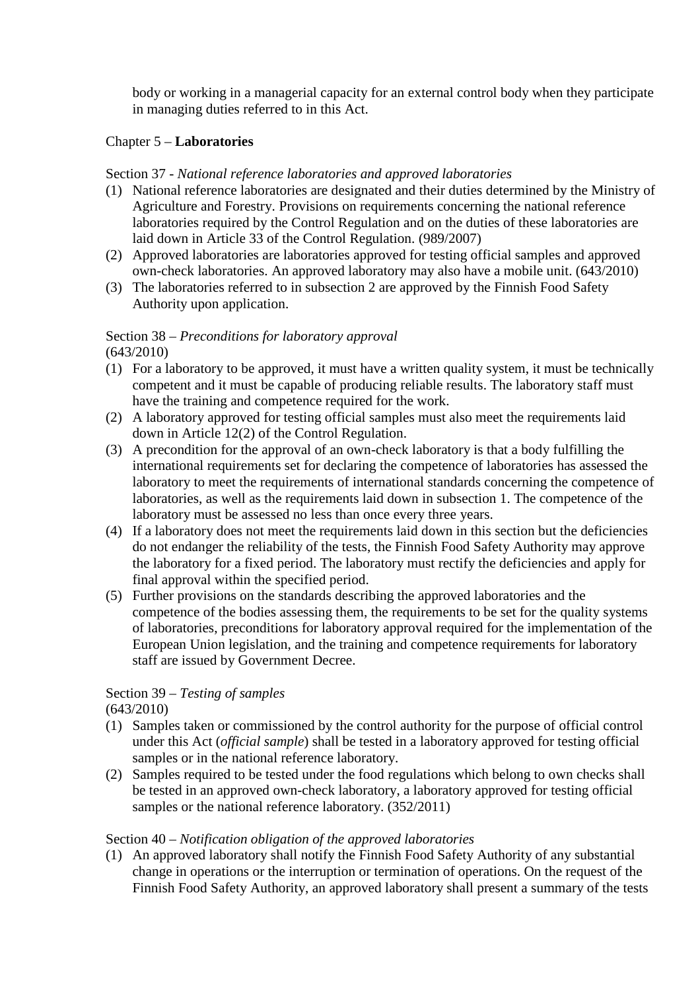body or working in a managerial capacity for an external control body when they participate in managing duties referred to in this Act.

## Chapter 5 – **Laboratories**

#### Section 37 - *National reference laboratories and approved laboratories*

- (1) National reference laboratories are designated and their duties determined by the Ministry of Agriculture and Forestry. Provisions on requirements concerning the national reference laboratories required by the Control Regulation and on the duties of these laboratories are laid down in Article 33 of the Control Regulation. (989/2007)
- (2) Approved laboratories are laboratories approved for testing official samples and approved own-check laboratories. An approved laboratory may also have a mobile unit. (643/2010)
- (3) The laboratories referred to in subsection 2 are approved by the Finnish Food Safety Authority upon application.

# Section 38 – *Preconditions for laboratory approval*

(643/2010)

- (1) For a laboratory to be approved, it must have a written quality system, it must be technically competent and it must be capable of producing reliable results. The laboratory staff must have the training and competence required for the work.
- (2) A laboratory approved for testing official samples must also meet the requirements laid down in Article 12(2) of the Control Regulation.
- (3) A precondition for the approval of an own-check laboratory is that a body fulfilling the international requirements set for declaring the competence of laboratories has assessed the laboratory to meet the requirements of international standards concerning the competence of laboratories, as well as the requirements laid down in subsection 1. The competence of the laboratory must be assessed no less than once every three years.
- (4) If a laboratory does not meet the requirements laid down in this section but the deficiencies do not endanger the reliability of the tests, the Finnish Food Safety Authority may approve the laboratory for a fixed period. The laboratory must rectify the deficiencies and apply for final approval within the specified period.
- (5) Further provisions on the standards describing the approved laboratories and the competence of the bodies assessing them, the requirements to be set for the quality systems of laboratories, preconditions for laboratory approval required for the implementation of the European Union legislation, and the training and competence requirements for laboratory staff are issued by Government Decree.

# Section 39 – *Testing of samples*

(643/2010)

- (1) Samples taken or commissioned by the control authority for the purpose of official control under this Act (*official sample*) shall be tested in a laboratory approved for testing official samples or in the national reference laboratory.
- (2) Samples required to be tested under the food regulations which belong to own checks shall be tested in an approved own-check laboratory, a laboratory approved for testing official samples or the national reference laboratory. (352/2011)

# Section 40 – *Notification obligation of the approved laboratories*

(1) An approved laboratory shall notify the Finnish Food Safety Authority of any substantial change in operations or the interruption or termination of operations. On the request of the Finnish Food Safety Authority, an approved laboratory shall present a summary of the tests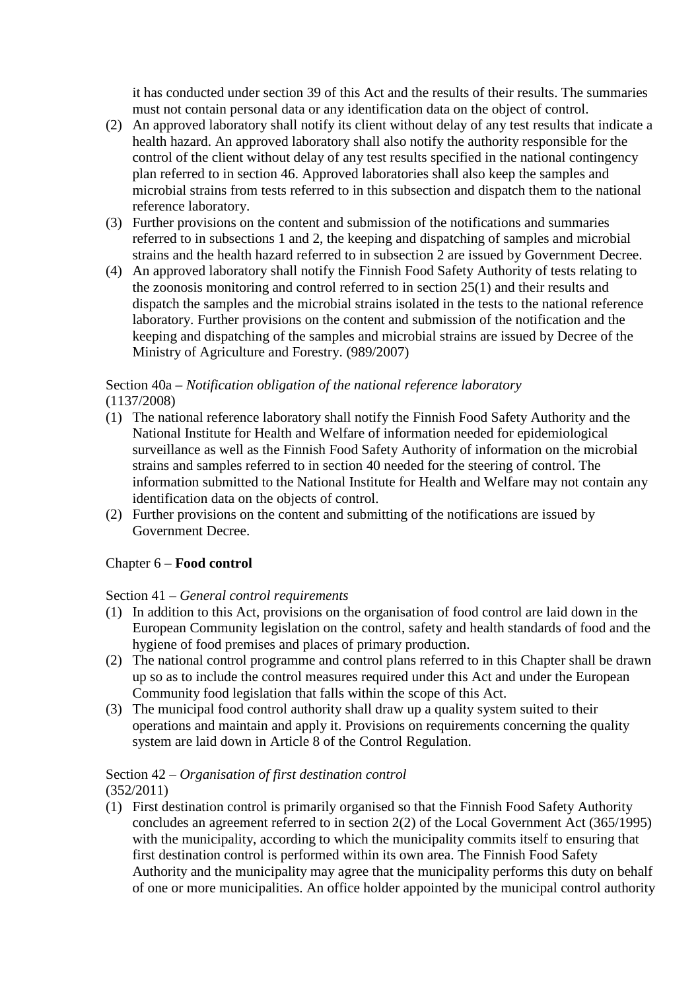it has conducted under section 39 of this Act and the results of their results. The summaries must not contain personal data or any identification data on the object of control.

- (2) An approved laboratory shall notify its client without delay of any test results that indicate a health hazard. An approved laboratory shall also notify the authority responsible for the control of the client without delay of any test results specified in the national contingency plan referred to in section 46. Approved laboratories shall also keep the samples and microbial strains from tests referred to in this subsection and dispatch them to the national reference laboratory.
- (3) Further provisions on the content and submission of the notifications and summaries referred to in subsections 1 and 2, the keeping and dispatching of samples and microbial strains and the health hazard referred to in subsection 2 are issued by Government Decree.
- (4) An approved laboratory shall notify the Finnish Food Safety Authority of tests relating to the zoonosis monitoring and control referred to in section 25(1) and their results and dispatch the samples and the microbial strains isolated in the tests to the national reference laboratory. Further provisions on the content and submission of the notification and the keeping and dispatching of the samples and microbial strains are issued by Decree of the Ministry of Agriculture and Forestry. (989/2007)

# Section 40a – *Notification obligation of the national reference laboratory*  (1137/2008)

- (1) The national reference laboratory shall notify the Finnish Food Safety Authority and the National Institute for Health and Welfare of information needed for epidemiological surveillance as well as the Finnish Food Safety Authority of information on the microbial strains and samples referred to in section 40 needed for the steering of control. The information submitted to the National Institute for Health and Welfare may not contain any identification data on the objects of control.
- (2) Further provisions on the content and submitting of the notifications are issued by Government Decree.

# Chapter 6 – **Food control**

# Section 41 – *General control requirements*

- (1) In addition to this Act, provisions on the organisation of food control are laid down in the European Community legislation on the control, safety and health standards of food and the hygiene of food premises and places of primary production.
- (2) The national control programme and control plans referred to in this Chapter shall be drawn up so as to include the control measures required under this Act and under the European Community food legislation that falls within the scope of this Act.
- (3) The municipal food control authority shall draw up a quality system suited to their operations and maintain and apply it. Provisions on requirements concerning the quality system are laid down in Article 8 of the Control Regulation.

# Section 42 – *Organisation of first destination control*

(352/2011)

(1) First destination control is primarily organised so that the Finnish Food Safety Authority concludes an agreement referred to in section 2(2) of the Local Government Act (365/1995) with the municipality, according to which the municipality commits itself to ensuring that first destination control is performed within its own area. The Finnish Food Safety Authority and the municipality may agree that the municipality performs this duty on behalf of one or more municipalities. An office holder appointed by the municipal control authority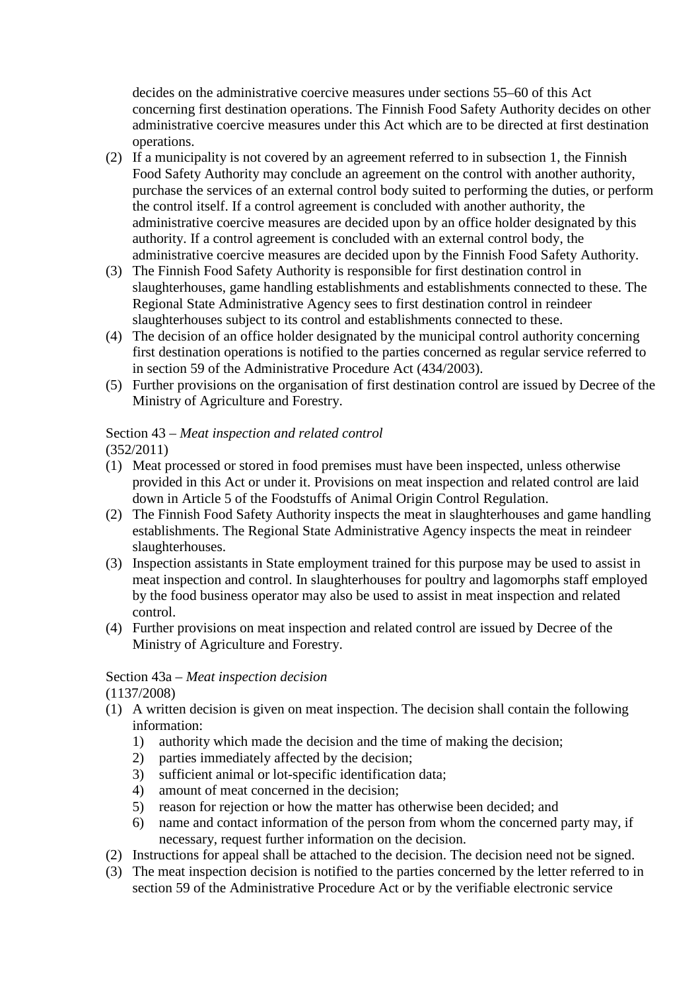decides on the administrative coercive measures under sections 55–60 of this Act concerning first destination operations. The Finnish Food Safety Authority decides on other administrative coercive measures under this Act which are to be directed at first destination operations.

- (2) If a municipality is not covered by an agreement referred to in subsection 1, the Finnish Food Safety Authority may conclude an agreement on the control with another authority, purchase the services of an external control body suited to performing the duties, or perform the control itself. If a control agreement is concluded with another authority, the administrative coercive measures are decided upon by an office holder designated by this authority. If a control agreement is concluded with an external control body, the administrative coercive measures are decided upon by the Finnish Food Safety Authority.
- (3) The Finnish Food Safety Authority is responsible for first destination control in slaughterhouses, game handling establishments and establishments connected to these. The Regional State Administrative Agency sees to first destination control in reindeer slaughterhouses subject to its control and establishments connected to these.
- (4) The decision of an office holder designated by the municipal control authority concerning first destination operations is notified to the parties concerned as regular service referred to in section 59 of the Administrative Procedure Act (434/2003).
- (5) Further provisions on the organisation of first destination control are issued by Decree of the Ministry of Agriculture and Forestry.

# Section 43 – *Meat inspection and related control*

- (352/2011)
- (1) Meat processed or stored in food premises must have been inspected, unless otherwise provided in this Act or under it. Provisions on meat inspection and related control are laid down in Article 5 of the Foodstuffs of Animal Origin Control Regulation.
- (2) The Finnish Food Safety Authority inspects the meat in slaughterhouses and game handling establishments. The Regional State Administrative Agency inspects the meat in reindeer slaughterhouses.
- (3) Inspection assistants in State employment trained for this purpose may be used to assist in meat inspection and control. In slaughterhouses for poultry and lagomorphs staff employed by the food business operator may also be used to assist in meat inspection and related control.
- (4) Further provisions on meat inspection and related control are issued by Decree of the Ministry of Agriculture and Forestry.

# Section 43a – *Meat inspection decision*

(1137/2008)

- (1) A written decision is given on meat inspection. The decision shall contain the following information:
	- 1) authority which made the decision and the time of making the decision;
	- 2) parties immediately affected by the decision;
	- 3) sufficient animal or lot-specific identification data;
	- 4) amount of meat concerned in the decision;
	- 5) reason for rejection or how the matter has otherwise been decided; and
	- 6) name and contact information of the person from whom the concerned party may, if necessary, request further information on the decision.
- (2) Instructions for appeal shall be attached to the decision. The decision need not be signed.
- (3) The meat inspection decision is notified to the parties concerned by the letter referred to in section 59 of the Administrative Procedure Act or by the verifiable electronic service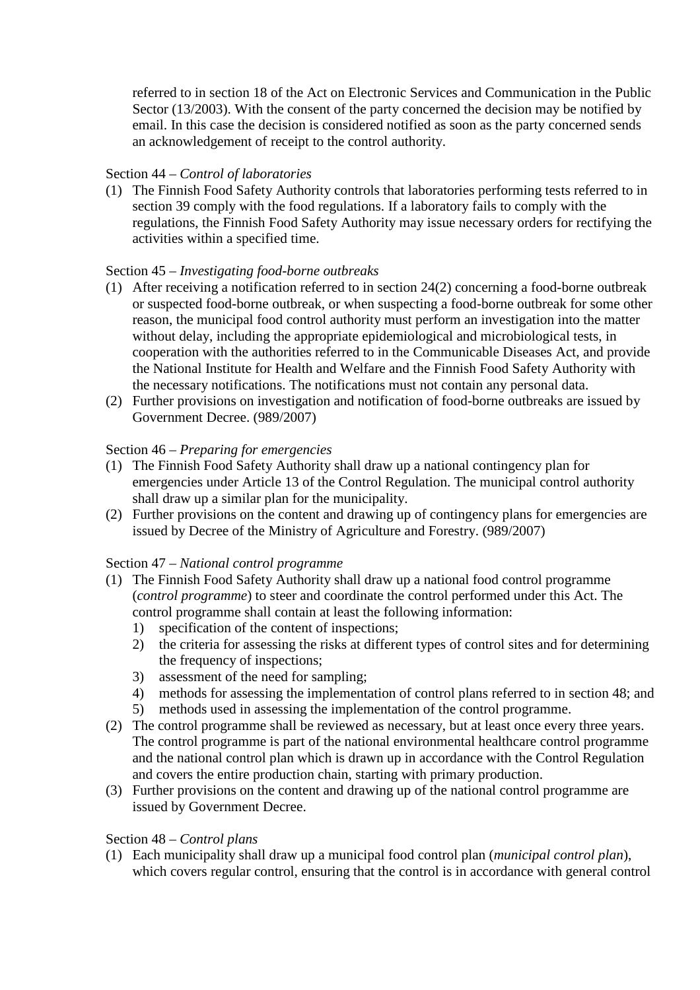referred to in section 18 of the Act on Electronic Services and Communication in the Public Sector (13/2003). With the consent of the party concerned the decision may be notified by email. In this case the decision is considered notified as soon as the party concerned sends an acknowledgement of receipt to the control authority.

#### Section 44 – *Control of laboratories*

(1) The Finnish Food Safety Authority controls that laboratories performing tests referred to in section 39 comply with the food regulations. If a laboratory fails to comply with the regulations, the Finnish Food Safety Authority may issue necessary orders for rectifying the activities within a specified time.

### Section 45 – *Investigating food-borne outbreaks*

- (1) After receiving a notification referred to in section 24(2) concerning a food-borne outbreak or suspected food-borne outbreak, or when suspecting a food-borne outbreak for some other reason, the municipal food control authority must perform an investigation into the matter without delay, including the appropriate epidemiological and microbiological tests, in cooperation with the authorities referred to in the Communicable Diseases Act, and provide the National Institute for Health and Welfare and the Finnish Food Safety Authority with the necessary notifications. The notifications must not contain any personal data.
- (2) Further provisions on investigation and notification of food-borne outbreaks are issued by Government Decree. (989/2007)

#### Section 46 – *Preparing for emergencies*

- (1) The Finnish Food Safety Authority shall draw up a national contingency plan for emergencies under Article 13 of the Control Regulation. The municipal control authority shall draw up a similar plan for the municipality.
- (2) Further provisions on the content and drawing up of contingency plans for emergencies are issued by Decree of the Ministry of Agriculture and Forestry. (989/2007)

#### Section 47 – *National control programme*

- (1) The Finnish Food Safety Authority shall draw up a national food control programme (*control programme*) to steer and coordinate the control performed under this Act. The control programme shall contain at least the following information:
	- 1) specification of the content of inspections;
	- 2) the criteria for assessing the risks at different types of control sites and for determining the frequency of inspections;
	- 3) assessment of the need for sampling;
	- 4) methods for assessing the implementation of control plans referred to in section 48; and
	- 5) methods used in assessing the implementation of the control programme.
- (2) The control programme shall be reviewed as necessary, but at least once every three years. The control programme is part of the national environmental healthcare control programme and the national control plan which is drawn up in accordance with the Control Regulation and covers the entire production chain, starting with primary production.
- (3) Further provisions on the content and drawing up of the national control programme are issued by Government Decree.

#### Section 48 – *Control plans*

(1) Each municipality shall draw up a municipal food control plan (*municipal control plan*), which covers regular control, ensuring that the control is in accordance with general control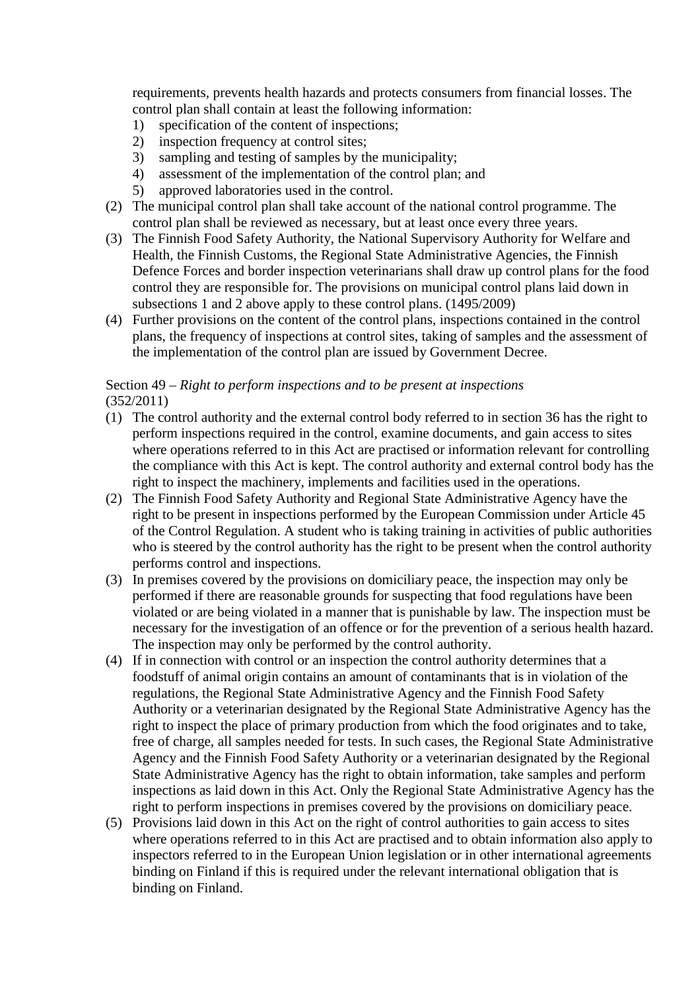requirements, prevents health hazards and protects consumers from financial losses. The control plan shall contain at least the following information:

- 1) specification of the content of inspections;
- 2) inspection frequency at control sites;
- 3) sampling and testing of samples by the municipality;
- 4) assessment of the implementation of the control plan; and
- 5) approved laboratories used in the control.
- (2) The municipal control plan shall take account of the national control programme. The control plan shall be reviewed as necessary, but at least once every three years.
- (3) The Finnish Food Safety Authority, the National Supervisory Authority for Welfare and Health, the Finnish Customs, the Regional State Administrative Agencies, the Finnish Defence Forces and border inspection veterinarians shall draw up control plans for the food control they are responsible for. The provisions on municipal control plans laid down in subsections 1 and 2 above apply to these control plans. (1495/2009)
- (4) Further provisions on the content of the control plans, inspections contained in the control plans, the frequency of inspections at control sites, taking of samples and the assessment of the implementation of the control plan are issued by Government Decree.

# Section 49 – *Right to perform inspections and to be present at inspections* (352/2011)

- (1) The control authority and the external control body referred to in section 36 has the right to perform inspections required in the control, examine documents, and gain access to sites where operations referred to in this Act are practised or information relevant for controlling the compliance with this Act is kept. The control authority and external control body has the right to inspect the machinery, implements and facilities used in the operations.
- (2) The Finnish Food Safety Authority and Regional State Administrative Agency have the right to be present in inspections performed by the European Commission under Article 45 of the Control Regulation. A student who is taking training in activities of public authorities who is steered by the control authority has the right to be present when the control authority performs control and inspections.
- (3) In premises covered by the provisions on domiciliary peace, the inspection may only be performed if there are reasonable grounds for suspecting that food regulations have been violated or are being violated in a manner that is punishable by law. The inspection must be necessary for the investigation of an offence or for the prevention of a serious health hazard. The inspection may only be performed by the control authority.
- (4) If in connection with control or an inspection the control authority determines that a foodstuff of animal origin contains an amount of contaminants that is in violation of the regulations, the Regional State Administrative Agency and the Finnish Food Safety Authority or a veterinarian designated by the Regional State Administrative Agency has the right to inspect the place of primary production from which the food originates and to take, free of charge, all samples needed for tests. In such cases, the Regional State Administrative Agency and the Finnish Food Safety Authority or a veterinarian designated by the Regional State Administrative Agency has the right to obtain information, take samples and perform inspections as laid down in this Act. Only the Regional State Administrative Agency has the right to perform inspections in premises covered by the provisions on domiciliary peace.
- (5) Provisions laid down in this Act on the right of control authorities to gain access to sites where operations referred to in this Act are practised and to obtain information also apply to inspectors referred to in the European Union legislation or in other international agreements binding on Finland if this is required under the relevant international obligation that is binding on Finland.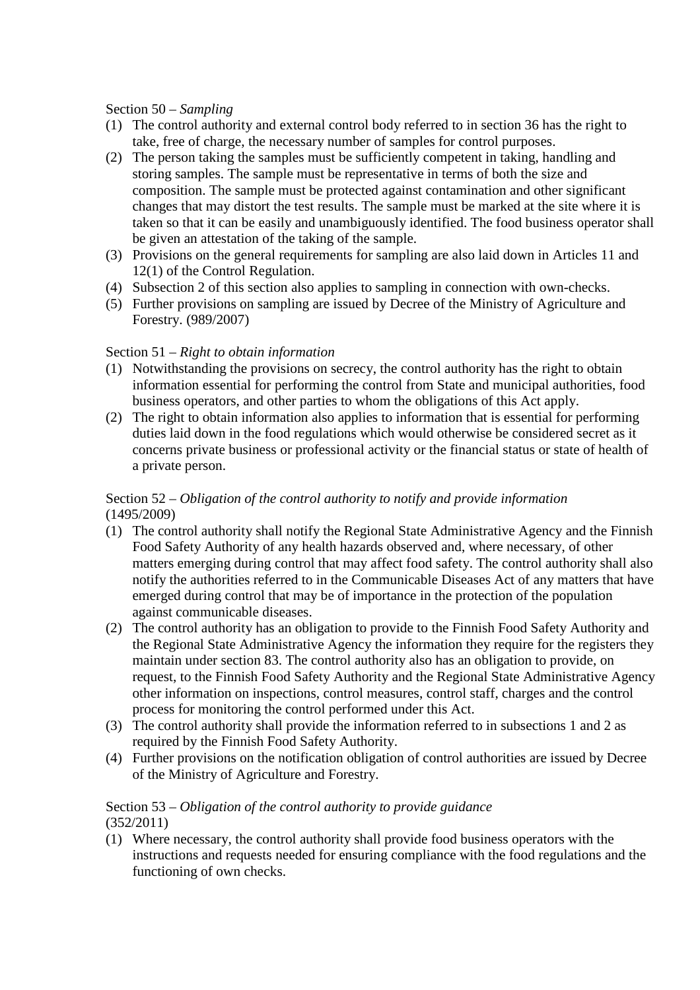#### Section 50 – *Sampling*

- (1) The control authority and external control body referred to in section 36 has the right to take, free of charge, the necessary number of samples for control purposes.
- (2) The person taking the samples must be sufficiently competent in taking, handling and storing samples. The sample must be representative in terms of both the size and composition. The sample must be protected against contamination and other significant changes that may distort the test results. The sample must be marked at the site where it is taken so that it can be easily and unambiguously identified. The food business operator shall be given an attestation of the taking of the sample.
- (3) Provisions on the general requirements for sampling are also laid down in Articles 11 and 12(1) of the Control Regulation.
- (4) Subsection 2 of this section also applies to sampling in connection with own-checks.
- (5) Further provisions on sampling are issued by Decree of the Ministry of Agriculture and Forestry. (989/2007)

#### Section 51 – *Right to obtain information*

- (1) Notwithstanding the provisions on secrecy, the control authority has the right to obtain information essential for performing the control from State and municipal authorities, food business operators, and other parties to whom the obligations of this Act apply.
- (2) The right to obtain information also applies to information that is essential for performing duties laid down in the food regulations which would otherwise be considered secret as it concerns private business or professional activity or the financial status or state of health of a private person.

# Section 52 – *Obligation of the control authority to notify and provide information* (1495/2009)

- (1) The control authority shall notify the Regional State Administrative Agency and the Finnish Food Safety Authority of any health hazards observed and, where necessary, of other matters emerging during control that may affect food safety. The control authority shall also notify the authorities referred to in the Communicable Diseases Act of any matters that have emerged during control that may be of importance in the protection of the population against communicable diseases.
- (2) The control authority has an obligation to provide to the Finnish Food Safety Authority and the Regional State Administrative Agency the information they require for the registers they maintain under section 83. The control authority also has an obligation to provide, on request, to the Finnish Food Safety Authority and the Regional State Administrative Agency other information on inspections, control measures, control staff, charges and the control process for monitoring the control performed under this Act.
- (3) The control authority shall provide the information referred to in subsections 1 and 2 as required by the Finnish Food Safety Authority.
- (4) Further provisions on the notification obligation of control authorities are issued by Decree of the Ministry of Agriculture and Forestry.

#### Section 53 – *Obligation of the control authority to provide guidance* (352/2011)

(1) Where necessary, the control authority shall provide food business operators with the instructions and requests needed for ensuring compliance with the food regulations and the functioning of own checks.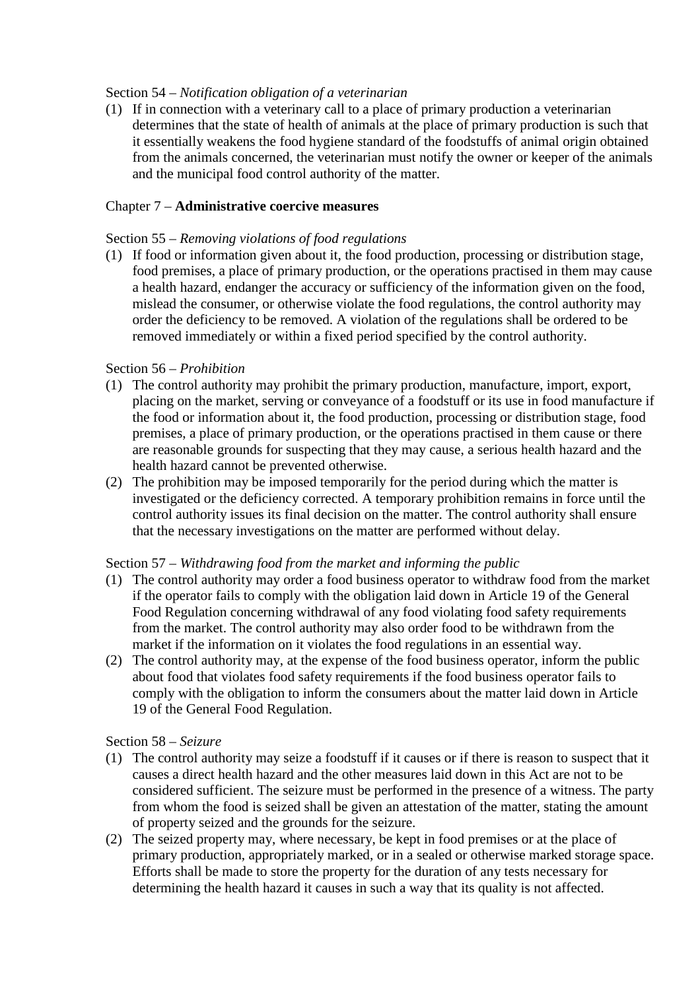#### Section 54 – *Notification obligation of a veterinarian*

(1) If in connection with a veterinary call to a place of primary production a veterinarian determines that the state of health of animals at the place of primary production is such that it essentially weakens the food hygiene standard of the foodstuffs of animal origin obtained from the animals concerned, the veterinarian must notify the owner or keeper of the animals and the municipal food control authority of the matter.

### Chapter 7 – **Administrative coercive measures**

### Section 55 – *Removing violations of food regulations*

(1) If food or information given about it, the food production, processing or distribution stage, food premises, a place of primary production, or the operations practised in them may cause a health hazard, endanger the accuracy or sufficiency of the information given on the food, mislead the consumer, or otherwise violate the food regulations, the control authority may order the deficiency to be removed. A violation of the regulations shall be ordered to be removed immediately or within a fixed period specified by the control authority.

### Section 56 – *Prohibition*

- (1) The control authority may prohibit the primary production, manufacture, import, export, placing on the market, serving or conveyance of a foodstuff or its use in food manufacture if the food or information about it, the food production, processing or distribution stage, food premises, a place of primary production, or the operations practised in them cause or there are reasonable grounds for suspecting that they may cause, a serious health hazard and the health hazard cannot be prevented otherwise.
- (2) The prohibition may be imposed temporarily for the period during which the matter is investigated or the deficiency corrected. A temporary prohibition remains in force until the control authority issues its final decision on the matter. The control authority shall ensure that the necessary investigations on the matter are performed without delay.

#### Section 57 – *Withdrawing food from the market and informing the public*

- (1) The control authority may order a food business operator to withdraw food from the market if the operator fails to comply with the obligation laid down in Article 19 of the General Food Regulation concerning withdrawal of any food violating food safety requirements from the market. The control authority may also order food to be withdrawn from the market if the information on it violates the food regulations in an essential way.
- (2) The control authority may, at the expense of the food business operator, inform the public about food that violates food safety requirements if the food business operator fails to comply with the obligation to inform the consumers about the matter laid down in Article 19 of the General Food Regulation.

#### Section 58 – *Seizure*

- (1) The control authority may seize a foodstuff if it causes or if there is reason to suspect that it causes a direct health hazard and the other measures laid down in this Act are not to be considered sufficient. The seizure must be performed in the presence of a witness. The party from whom the food is seized shall be given an attestation of the matter, stating the amount of property seized and the grounds for the seizure.
- (2) The seized property may, where necessary, be kept in food premises or at the place of primary production, appropriately marked, or in a sealed or otherwise marked storage space. Efforts shall be made to store the property for the duration of any tests necessary for determining the health hazard it causes in such a way that its quality is not affected.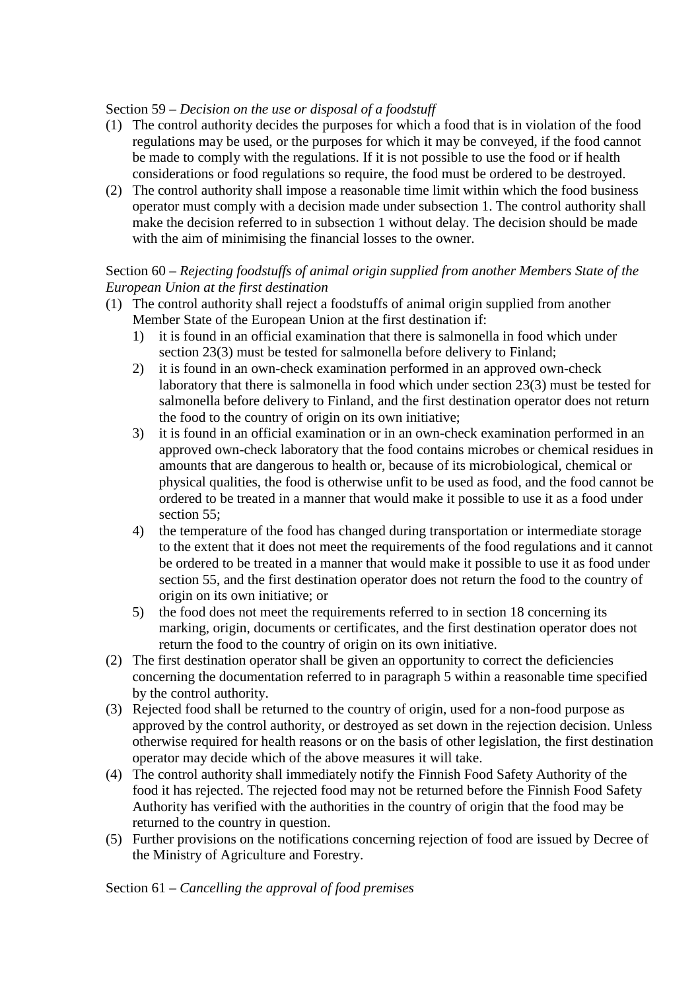## Section 59 – *Decision on the use or disposal of a foodstuff*

- (1) The control authority decides the purposes for which a food that is in violation of the food regulations may be used, or the purposes for which it may be conveyed, if the food cannot be made to comply with the regulations. If it is not possible to use the food or if health considerations or food regulations so require, the food must be ordered to be destroyed.
- (2) The control authority shall impose a reasonable time limit within which the food business operator must comply with a decision made under subsection 1. The control authority shall make the decision referred to in subsection 1 without delay. The decision should be made with the aim of minimising the financial losses to the owner.

## Section 60 – *Rejecting foodstuffs of animal origin supplied from another Members State of the European Union at the first destination*

- (1) The control authority shall reject a foodstuffs of animal origin supplied from another Member State of the European Union at the first destination if:
	- 1) it is found in an official examination that there is salmonella in food which under section 23(3) must be tested for salmonella before delivery to Finland;
	- 2) it is found in an own-check examination performed in an approved own-check laboratory that there is salmonella in food which under section 23(3) must be tested for salmonella before delivery to Finland, and the first destination operator does not return the food to the country of origin on its own initiative;
	- 3) it is found in an official examination or in an own-check examination performed in an approved own-check laboratory that the food contains microbes or chemical residues in amounts that are dangerous to health or, because of its microbiological, chemical or physical qualities, the food is otherwise unfit to be used as food, and the food cannot be ordered to be treated in a manner that would make it possible to use it as a food under section 55:
	- 4) the temperature of the food has changed during transportation or intermediate storage to the extent that it does not meet the requirements of the food regulations and it cannot be ordered to be treated in a manner that would make it possible to use it as food under section 55, and the first destination operator does not return the food to the country of origin on its own initiative; or
	- 5) the food does not meet the requirements referred to in section 18 concerning its marking, origin, documents or certificates, and the first destination operator does not return the food to the country of origin on its own initiative.
- (2) The first destination operator shall be given an opportunity to correct the deficiencies concerning the documentation referred to in paragraph 5 within a reasonable time specified by the control authority.
- (3) Rejected food shall be returned to the country of origin, used for a non-food purpose as approved by the control authority, or destroyed as set down in the rejection decision. Unless otherwise required for health reasons or on the basis of other legislation, the first destination operator may decide which of the above measures it will take.
- (4) The control authority shall immediately notify the Finnish Food Safety Authority of the food it has rejected. The rejected food may not be returned before the Finnish Food Safety Authority has verified with the authorities in the country of origin that the food may be returned to the country in question.
- (5) Further provisions on the notifications concerning rejection of food are issued by Decree of the Ministry of Agriculture and Forestry.

Section 61 – *Cancelling the approval of food premises*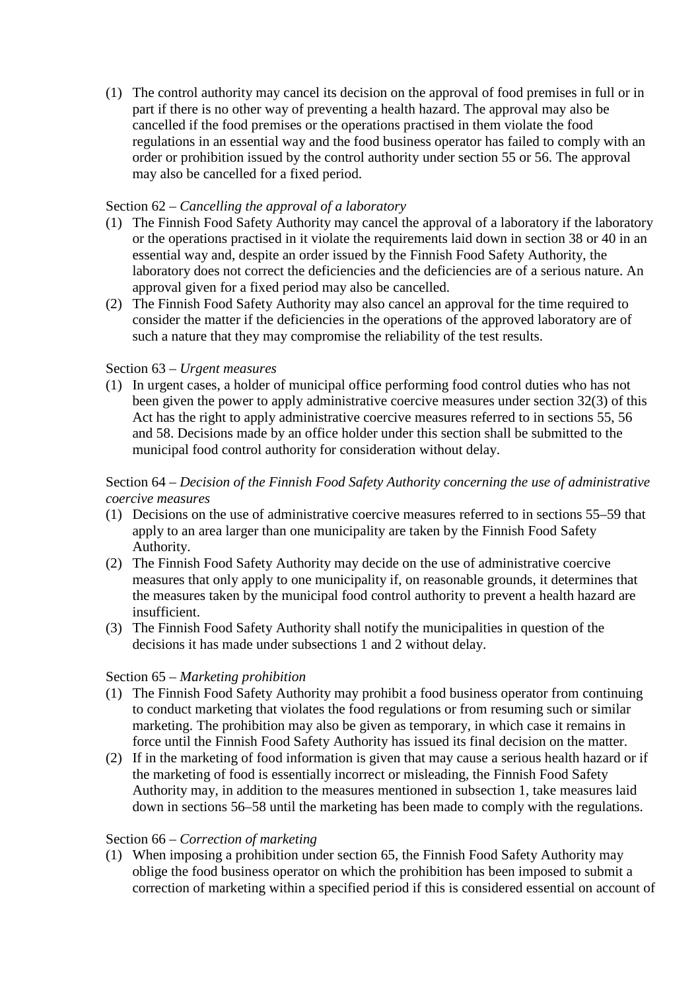(1) The control authority may cancel its decision on the approval of food premises in full or in part if there is no other way of preventing a health hazard. The approval may also be cancelled if the food premises or the operations practised in them violate the food regulations in an essential way and the food business operator has failed to comply with an order or prohibition issued by the control authority under section 55 or 56. The approval may also be cancelled for a fixed period.

## Section 62 – *Cancelling the approval of a laboratory*

- (1) The Finnish Food Safety Authority may cancel the approval of a laboratory if the laboratory or the operations practised in it violate the requirements laid down in section 38 or 40 in an essential way and, despite an order issued by the Finnish Food Safety Authority, the laboratory does not correct the deficiencies and the deficiencies are of a serious nature. An approval given for a fixed period may also be cancelled.
- (2) The Finnish Food Safety Authority may also cancel an approval for the time required to consider the matter if the deficiencies in the operations of the approved laboratory are of such a nature that they may compromise the reliability of the test results.

### Section 63 – *Urgent measures*

(1) In urgent cases, a holder of municipal office performing food control duties who has not been given the power to apply administrative coercive measures under section 32(3) of this Act has the right to apply administrative coercive measures referred to in sections 55, 56 and 58. Decisions made by an office holder under this section shall be submitted to the municipal food control authority for consideration without delay.

### Section 64 – *Decision of the Finnish Food Safety Authority concerning the use of administrative coercive measures*

- (1) Decisions on the use of administrative coercive measures referred to in sections 55–59 that apply to an area larger than one municipality are taken by the Finnish Food Safety Authority.
- (2) The Finnish Food Safety Authority may decide on the use of administrative coercive measures that only apply to one municipality if, on reasonable grounds, it determines that the measures taken by the municipal food control authority to prevent a health hazard are insufficient.
- (3) The Finnish Food Safety Authority shall notify the municipalities in question of the decisions it has made under subsections 1 and 2 without delay.

#### Section 65 – *Marketing prohibition*

- (1) The Finnish Food Safety Authority may prohibit a food business operator from continuing to conduct marketing that violates the food regulations or from resuming such or similar marketing. The prohibition may also be given as temporary, in which case it remains in force until the Finnish Food Safety Authority has issued its final decision on the matter.
- (2) If in the marketing of food information is given that may cause a serious health hazard or if the marketing of food is essentially incorrect or misleading, the Finnish Food Safety Authority may, in addition to the measures mentioned in subsection 1, take measures laid down in sections 56–58 until the marketing has been made to comply with the regulations.

#### Section 66 – *Correction of marketing*

(1) When imposing a prohibition under section 65, the Finnish Food Safety Authority may oblige the food business operator on which the prohibition has been imposed to submit a correction of marketing within a specified period if this is considered essential on account of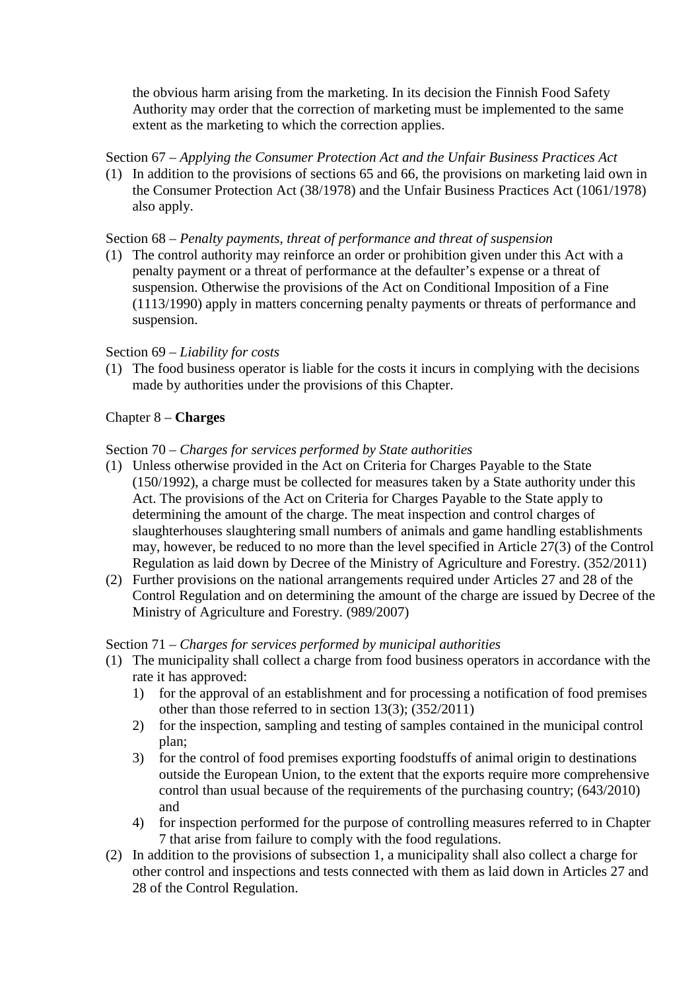the obvious harm arising from the marketing. In its decision the Finnish Food Safety Authority may order that the correction of marketing must be implemented to the same extent as the marketing to which the correction applies.

### Section 67 – *Applying the Consumer Protection Act and the Unfair Business Practices Act*

(1) In addition to the provisions of sections 65 and 66, the provisions on marketing laid own in the Consumer Protection Act (38/1978) and the Unfair Business Practices Act (1061/1978) also apply.

#### Section 68 – *Penalty payments, threat of performance and threat of suspension*

(1) The control authority may reinforce an order or prohibition given under this Act with a penalty payment or a threat of performance at the defaulter's expense or a threat of suspension. Otherwise the provisions of the Act on Conditional Imposition of a Fine (1113/1990) apply in matters concerning penalty payments or threats of performance and suspension.

#### Section 69 – *Liability for costs*

(1) The food business operator is liable for the costs it incurs in complying with the decisions made by authorities under the provisions of this Chapter.

### Chapter 8 – **Charges**

#### Section 70 – *Charges for services performed by State authorities*

- (1) Unless otherwise provided in the Act on Criteria for Charges Payable to the State (150/1992), a charge must be collected for measures taken by a State authority under this Act. The provisions of the Act on Criteria for Charges Payable to the State apply to determining the amount of the charge. The meat inspection and control charges of slaughterhouses slaughtering small numbers of animals and game handling establishments may, however, be reduced to no more than the level specified in Article 27(3) of the Control Regulation as laid down by Decree of the Ministry of Agriculture and Forestry. (352/2011)
- (2) Further provisions on the national arrangements required under Articles 27 and 28 of the Control Regulation and on determining the amount of the charge are issued by Decree of the Ministry of Agriculture and Forestry. (989/2007)

#### Section 71 – *Charges for services performed by municipal authorities*

- (1) The municipality shall collect a charge from food business operators in accordance with the rate it has approved:
	- 1) for the approval of an establishment and for processing a notification of food premises other than those referred to in section 13(3); (352/2011)
	- 2) for the inspection, sampling and testing of samples contained in the municipal control plan;
	- 3) for the control of food premises exporting foodstuffs of animal origin to destinations outside the European Union, to the extent that the exports require more comprehensive control than usual because of the requirements of the purchasing country; (643/2010) and
	- 4) for inspection performed for the purpose of controlling measures referred to in Chapter 7 that arise from failure to comply with the food regulations.
- (2) In addition to the provisions of subsection 1, a municipality shall also collect a charge for other control and inspections and tests connected with them as laid down in Articles 27 and 28 of the Control Regulation.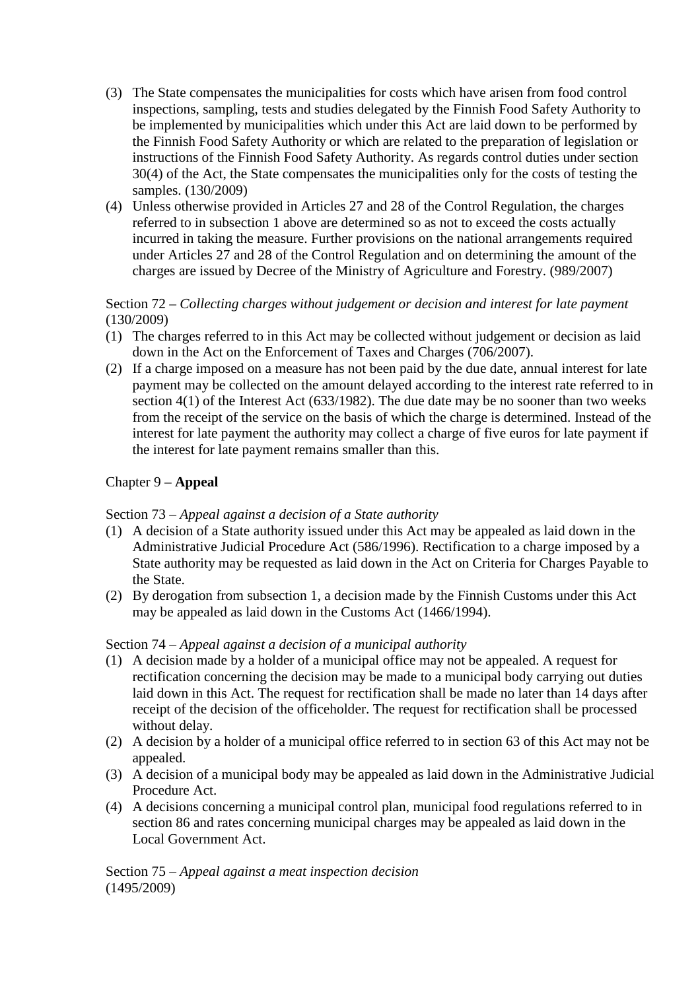- (3) The State compensates the municipalities for costs which have arisen from food control inspections, sampling, tests and studies delegated by the Finnish Food Safety Authority to be implemented by municipalities which under this Act are laid down to be performed by the Finnish Food Safety Authority or which are related to the preparation of legislation or instructions of the Finnish Food Safety Authority. As regards control duties under section 30(4) of the Act, the State compensates the municipalities only for the costs of testing the samples. (130/2009)
- (4) Unless otherwise provided in Articles 27 and 28 of the Control Regulation, the charges referred to in subsection 1 above are determined so as not to exceed the costs actually incurred in taking the measure. Further provisions on the national arrangements required under Articles 27 and 28 of the Control Regulation and on determining the amount of the charges are issued by Decree of the Ministry of Agriculture and Forestry. (989/2007)

## Section 72 – *Collecting charges without judgement or decision and interest for late payment*  (130/2009)

- (1) The charges referred to in this Act may be collected without judgement or decision as laid down in the Act on the Enforcement of Taxes and Charges (706/2007).
- (2) If a charge imposed on a measure has not been paid by the due date, annual interest for late payment may be collected on the amount delayed according to the interest rate referred to in section 4(1) of the Interest Act (633/1982). The due date may be no sooner than two weeks from the receipt of the service on the basis of which the charge is determined. Instead of the interest for late payment the authority may collect a charge of five euros for late payment if the interest for late payment remains smaller than this.

# Chapter 9 – **Appeal**

# Section 73 – *Appeal against a decision of a State authority*

- (1) A decision of a State authority issued under this Act may be appealed as laid down in the Administrative Judicial Procedure Act (586/1996). Rectification to a charge imposed by a State authority may be requested as laid down in the Act on Criteria for Charges Payable to the State.
- (2) By derogation from subsection 1, a decision made by the Finnish Customs under this Act may be appealed as laid down in the Customs Act (1466/1994).

# Section 74 – *Appeal against a decision of a municipal authority*

- (1) A decision made by a holder of a municipal office may not be appealed. A request for rectification concerning the decision may be made to a municipal body carrying out duties laid down in this Act. The request for rectification shall be made no later than 14 days after receipt of the decision of the officeholder. The request for rectification shall be processed without delay.
- (2) A decision by a holder of a municipal office referred to in section 63 of this Act may not be appealed.
- (3) A decision of a municipal body may be appealed as laid down in the Administrative Judicial Procedure Act.
- (4) A decisions concerning a municipal control plan, municipal food regulations referred to in section 86 and rates concerning municipal charges may be appealed as laid down in the Local Government Act.

Section 75 – *Appeal against a meat inspection decision*  (1495/2009)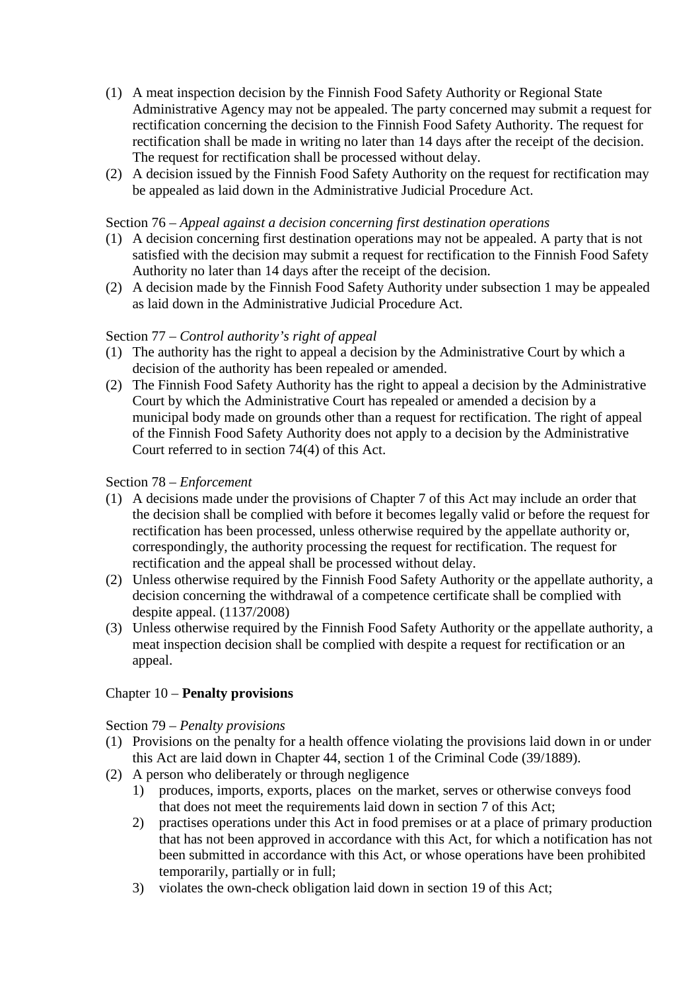- (1) A meat inspection decision by the Finnish Food Safety Authority or Regional State Administrative Agency may not be appealed. The party concerned may submit a request for rectification concerning the decision to the Finnish Food Safety Authority. The request for rectification shall be made in writing no later than 14 days after the receipt of the decision. The request for rectification shall be processed without delay.
- (2) A decision issued by the Finnish Food Safety Authority on the request for rectification may be appealed as laid down in the Administrative Judicial Procedure Act.

#### Section 76 – *Appeal against a decision concerning first destination operations*

- (1) A decision concerning first destination operations may not be appealed. A party that is not satisfied with the decision may submit a request for rectification to the Finnish Food Safety Authority no later than 14 days after the receipt of the decision.
- (2) A decision made by the Finnish Food Safety Authority under subsection 1 may be appealed as laid down in the Administrative Judicial Procedure Act.

# Section 77 – *Control authority's right of appeal*

- (1) The authority has the right to appeal a decision by the Administrative Court by which a decision of the authority has been repealed or amended.
- (2) The Finnish Food Safety Authority has the right to appeal a decision by the Administrative Court by which the Administrative Court has repealed or amended a decision by a municipal body made on grounds other than a request for rectification. The right of appeal of the Finnish Food Safety Authority does not apply to a decision by the Administrative Court referred to in section 74(4) of this Act.

# Section 78 – *Enforcement*

- (1) A decisions made under the provisions of Chapter 7 of this Act may include an order that the decision shall be complied with before it becomes legally valid or before the request for rectification has been processed, unless otherwise required by the appellate authority or, correspondingly, the authority processing the request for rectification. The request for rectification and the appeal shall be processed without delay.
- (2) Unless otherwise required by the Finnish Food Safety Authority or the appellate authority, a decision concerning the withdrawal of a competence certificate shall be complied with despite appeal. (1137/2008)
- (3) Unless otherwise required by the Finnish Food Safety Authority or the appellate authority, a meat inspection decision shall be complied with despite a request for rectification or an appeal.

# Chapter 10 – **Penalty provisions**

# Section 79 – *Penalty provisions*

- (1) Provisions on the penalty for a health offence violating the provisions laid down in or under this Act are laid down in Chapter 44, section 1 of the Criminal Code (39/1889).
- (2) A person who deliberately or through negligence
	- 1) produces, imports, exports, places on the market, serves or otherwise conveys food that does not meet the requirements laid down in section 7 of this Act;
	- 2) practises operations under this Act in food premises or at a place of primary production that has not been approved in accordance with this Act, for which a notification has not been submitted in accordance with this Act, or whose operations have been prohibited temporarily, partially or in full;
	- 3) violates the own-check obligation laid down in section 19 of this Act;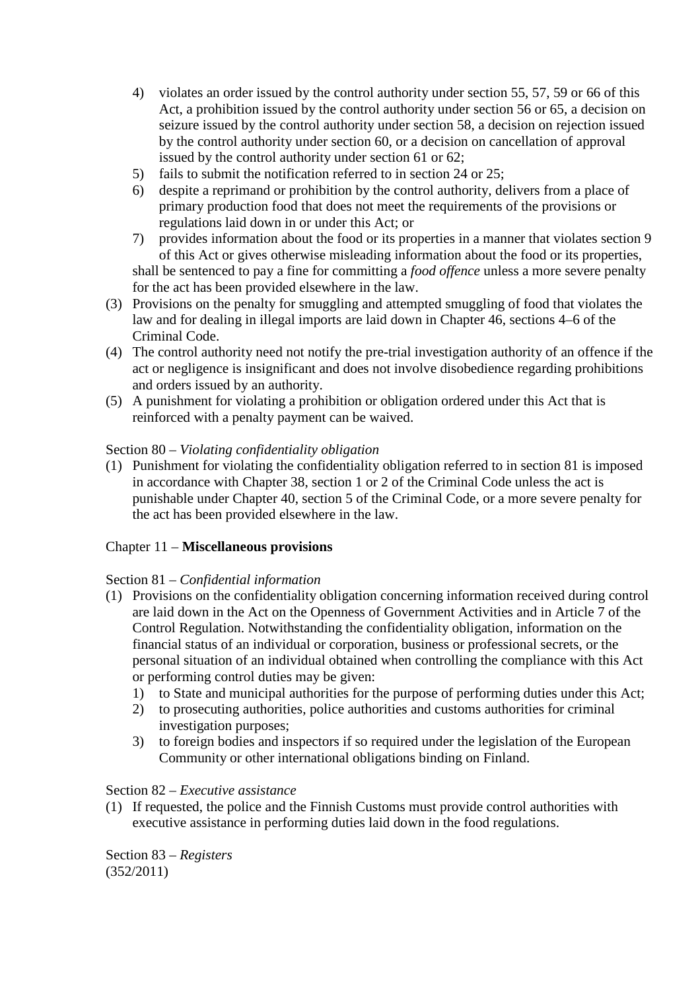- 4) violates an order issued by the control authority under section 55, 57, 59 or 66 of this Act, a prohibition issued by the control authority under section 56 or 65, a decision on seizure issued by the control authority under section 58, a decision on rejection issued by the control authority under section 60, or a decision on cancellation of approval issued by the control authority under section 61 or 62;
- 5) fails to submit the notification referred to in section 24 or 25;
- 6) despite a reprimand or prohibition by the control authority, delivers from a place of primary production food that does not meet the requirements of the provisions or regulations laid down in or under this Act; or
- 7) provides information about the food or its properties in a manner that violates section 9 of this Act or gives otherwise misleading information about the food or its properties, shall be sentenced to pay a fine for committing a *food offence* unless a more severe penalty for the act has been provided elsewhere in the law.
- (3) Provisions on the penalty for smuggling and attempted smuggling of food that violates the law and for dealing in illegal imports are laid down in Chapter 46, sections 4–6 of the Criminal Code.
- (4) The control authority need not notify the pre-trial investigation authority of an offence if the act or negligence is insignificant and does not involve disobedience regarding prohibitions and orders issued by an authority.
- (5) A punishment for violating a prohibition or obligation ordered under this Act that is reinforced with a penalty payment can be waived.

### Section 80 – *Violating confidentiality obligation*

(1) Punishment for violating the confidentiality obligation referred to in section 81 is imposed in accordance with Chapter 38, section 1 or 2 of the Criminal Code unless the act is punishable under Chapter 40, section 5 of the Criminal Code, or a more severe penalty for the act has been provided elsewhere in the law.

# Chapter 11 – **Miscellaneous provisions**

# Section 81 – *Confidential information*

- (1) Provisions on the confidentiality obligation concerning information received during control are laid down in the Act on the Openness of Government Activities and in Article 7 of the Control Regulation. Notwithstanding the confidentiality obligation, information on the financial status of an individual or corporation, business or professional secrets, or the personal situation of an individual obtained when controlling the compliance with this Act or performing control duties may be given:
	- 1) to State and municipal authorities for the purpose of performing duties under this Act;
	- 2) to prosecuting authorities, police authorities and customs authorities for criminal investigation purposes;
	- 3) to foreign bodies and inspectors if so required under the legislation of the European Community or other international obligations binding on Finland.

#### Section 82 – *Executive assistance*

(1) If requested, the police and the Finnish Customs must provide control authorities with executive assistance in performing duties laid down in the food regulations.

Section 83 – *Registers* (352/2011)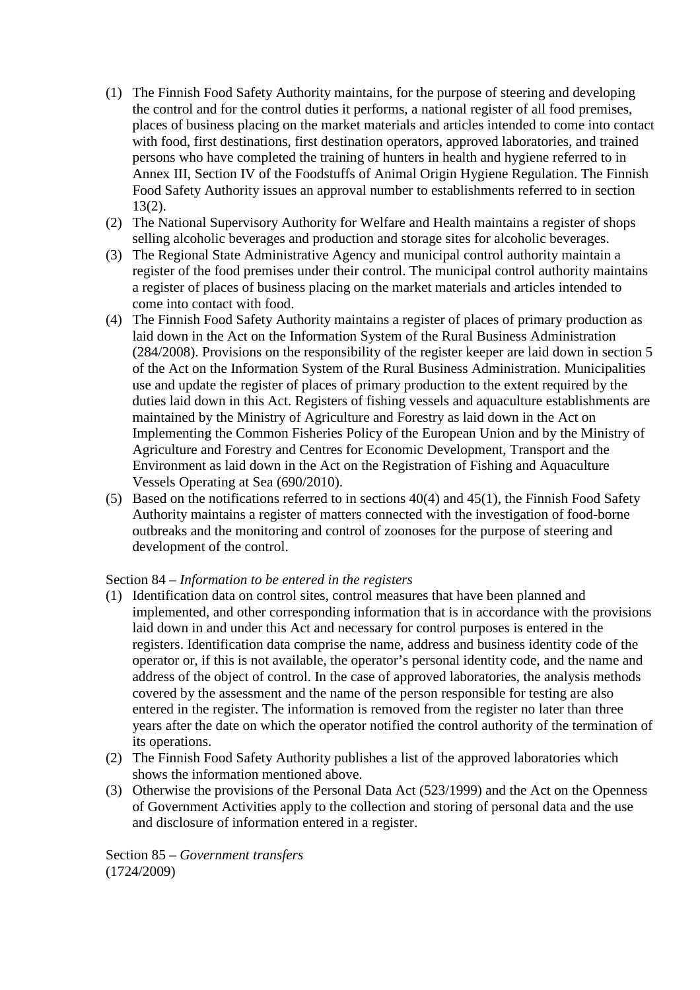- (1) The Finnish Food Safety Authority maintains, for the purpose of steering and developing the control and for the control duties it performs, a national register of all food premises, places of business placing on the market materials and articles intended to come into contact with food, first destinations, first destination operators, approved laboratories, and trained persons who have completed the training of hunters in health and hygiene referred to in Annex III, Section IV of the Foodstuffs of Animal Origin Hygiene Regulation. The Finnish Food Safety Authority issues an approval number to establishments referred to in section 13(2).
- (2) The National Supervisory Authority for Welfare and Health maintains a register of shops selling alcoholic beverages and production and storage sites for alcoholic beverages.
- (3) The Regional State Administrative Agency and municipal control authority maintain a register of the food premises under their control. The municipal control authority maintains a register of places of business placing on the market materials and articles intended to come into contact with food.
- (4) The Finnish Food Safety Authority maintains a register of places of primary production as laid down in the Act on the Information System of the Rural Business Administration (284/2008). Provisions on the responsibility of the register keeper are laid down in section 5 of the Act on the Information System of the Rural Business Administration. Municipalities use and update the register of places of primary production to the extent required by the duties laid down in this Act. Registers of fishing vessels and aquaculture establishments are maintained by the Ministry of Agriculture and Forestry as laid down in the Act on Implementing the Common Fisheries Policy of the European Union and by the Ministry of Agriculture and Forestry and Centres for Economic Development, Transport and the Environment as laid down in the Act on the Registration of Fishing and Aquaculture Vessels Operating at Sea (690/2010).
- (5) Based on the notifications referred to in sections 40(4) and 45(1), the Finnish Food Safety Authority maintains a register of matters connected with the investigation of food-borne outbreaks and the monitoring and control of zoonoses for the purpose of steering and development of the control.

#### Section 84 – *Information to be entered in the registers*

- (1) Identification data on control sites, control measures that have been planned and implemented, and other corresponding information that is in accordance with the provisions laid down in and under this Act and necessary for control purposes is entered in the registers. Identification data comprise the name, address and business identity code of the operator or, if this is not available, the operator's personal identity code, and the name and address of the object of control. In the case of approved laboratories, the analysis methods covered by the assessment and the name of the person responsible for testing are also entered in the register. The information is removed from the register no later than three years after the date on which the operator notified the control authority of the termination of its operations.
- (2) The Finnish Food Safety Authority publishes a list of the approved laboratories which shows the information mentioned above.
- (3) Otherwise the provisions of the Personal Data Act (523/1999) and the Act on the Openness of Government Activities apply to the collection and storing of personal data and the use and disclosure of information entered in a register.

Section 85 – *Government transfers* (1724/2009)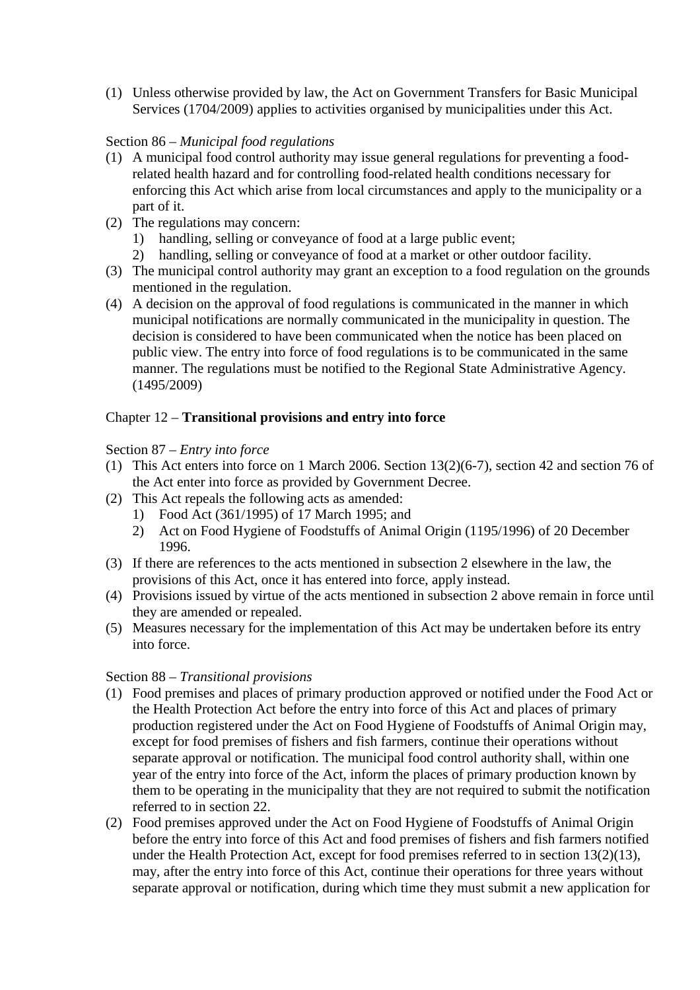(1) Unless otherwise provided by law, the Act on Government Transfers for Basic Municipal Services (1704/2009) applies to activities organised by municipalities under this Act.

# Section 86 – *Municipal food regulations*

- (1) A municipal food control authority may issue general regulations for preventing a foodrelated health hazard and for controlling food-related health conditions necessary for enforcing this Act which arise from local circumstances and apply to the municipality or a part of it.
- (2) The regulations may concern:
	- 1) handling, selling or conveyance of food at a large public event;
	- 2) handling, selling or conveyance of food at a market or other outdoor facility.
- (3) The municipal control authority may grant an exception to a food regulation on the grounds mentioned in the regulation.
- (4) A decision on the approval of food regulations is communicated in the manner in which municipal notifications are normally communicated in the municipality in question. The decision is considered to have been communicated when the notice has been placed on public view. The entry into force of food regulations is to be communicated in the same manner. The regulations must be notified to the Regional State Administrative Agency. (1495/2009)

# Chapter 12 – **Transitional provisions and entry into force**

### Section 87 – *Entry into force*

- (1) This Act enters into force on 1 March 2006. Section 13(2)(6-7), section 42 and section 76 of the Act enter into force as provided by Government Decree.
- (2) This Act repeals the following acts as amended:
	- 1) Food Act (361/1995) of 17 March 1995; and
	- 2) Act on Food Hygiene of Foodstuffs of Animal Origin (1195/1996) of 20 December 1996.
- (3) If there are references to the acts mentioned in subsection 2 elsewhere in the law, the provisions of this Act, once it has entered into force, apply instead.
- (4) Provisions issued by virtue of the acts mentioned in subsection 2 above remain in force until they are amended or repealed.
- (5) Measures necessary for the implementation of this Act may be undertaken before its entry into force.

#### Section 88 – *Transitional provisions*

- (1) Food premises and places of primary production approved or notified under the Food Act or the Health Protection Act before the entry into force of this Act and places of primary production registered under the Act on Food Hygiene of Foodstuffs of Animal Origin may, except for food premises of fishers and fish farmers, continue their operations without separate approval or notification. The municipal food control authority shall, within one year of the entry into force of the Act, inform the places of primary production known by them to be operating in the municipality that they are not required to submit the notification referred to in section 22.
- (2) Food premises approved under the Act on Food Hygiene of Foodstuffs of Animal Origin before the entry into force of this Act and food premises of fishers and fish farmers notified under the Health Protection Act, except for food premises referred to in section 13(2)(13), may, after the entry into force of this Act, continue their operations for three years without separate approval or notification, during which time they must submit a new application for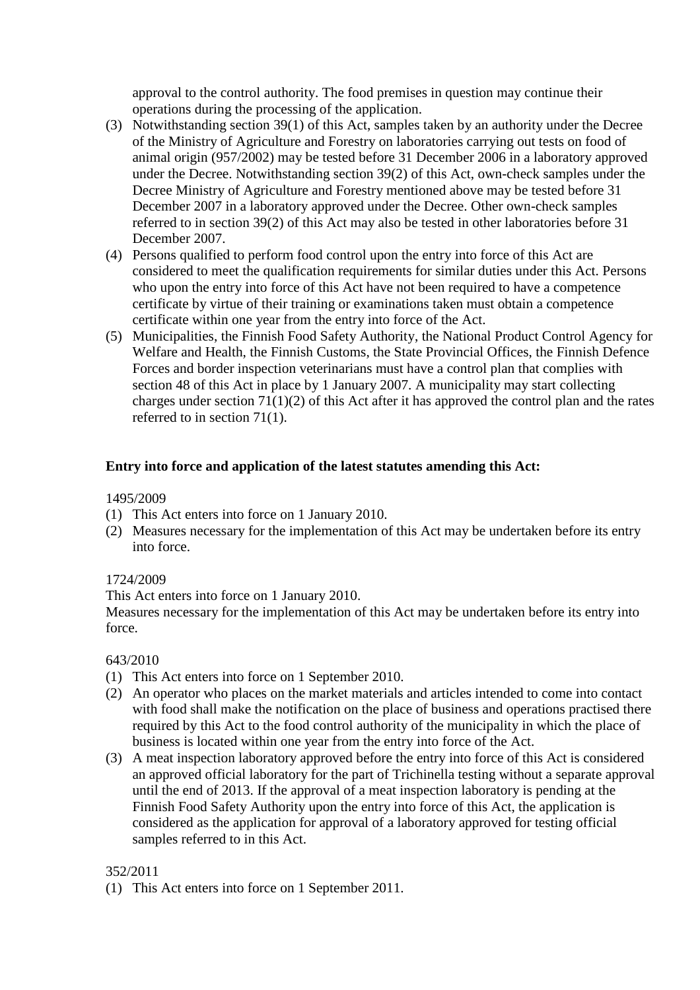approval to the control authority. The food premises in question may continue their operations during the processing of the application.

- (3) Notwithstanding section 39(1) of this Act, samples taken by an authority under the Decree of the Ministry of Agriculture and Forestry on laboratories carrying out tests on food of animal origin (957/2002) may be tested before 31 December 2006 in a laboratory approved under the Decree. Notwithstanding section 39(2) of this Act, own-check samples under the Decree Ministry of Agriculture and Forestry mentioned above may be tested before 31 December 2007 in a laboratory approved under the Decree. Other own-check samples referred to in section 39(2) of this Act may also be tested in other laboratories before 31 December 2007.
- (4) Persons qualified to perform food control upon the entry into force of this Act are considered to meet the qualification requirements for similar duties under this Act. Persons who upon the entry into force of this Act have not been required to have a competence certificate by virtue of their training or examinations taken must obtain a competence certificate within one year from the entry into force of the Act.
- (5) Municipalities, the Finnish Food Safety Authority, the National Product Control Agency for Welfare and Health, the Finnish Customs, the State Provincial Offices, the Finnish Defence Forces and border inspection veterinarians must have a control plan that complies with section 48 of this Act in place by 1 January 2007. A municipality may start collecting charges under section 71(1)(2) of this Act after it has approved the control plan and the rates referred to in section 71(1).

#### **Entry into force and application of the latest statutes amending this Act:**

#### 1495/2009

- (1) This Act enters into force on 1 January 2010.
- (2) Measures necessary for the implementation of this Act may be undertaken before its entry into force.

# 1724/2009

This Act enters into force on 1 January 2010.

Measures necessary for the implementation of this Act may be undertaken before its entry into force.

#### 643/2010

- (1) This Act enters into force on 1 September 2010.
- (2) An operator who places on the market materials and articles intended to come into contact with food shall make the notification on the place of business and operations practised there required by this Act to the food control authority of the municipality in which the place of business is located within one year from the entry into force of the Act.
- (3) A meat inspection laboratory approved before the entry into force of this Act is considered an approved official laboratory for the part of Trichinella testing without a separate approval until the end of 2013. If the approval of a meat inspection laboratory is pending at the Finnish Food Safety Authority upon the entry into force of this Act, the application is considered as the application for approval of a laboratory approved for testing official samples referred to in this Act.

#### 352/2011

(1) This Act enters into force on 1 September 2011.